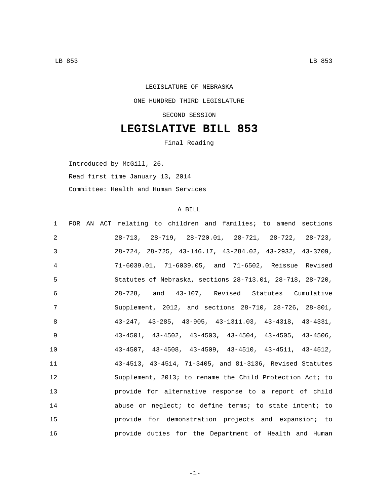## LEGISLATURE OF NEBRASKA ONE HUNDRED THIRD LEGISLATURE SECOND SESSION

## **LEGISLATIVE BILL 853**

Final Reading

Introduced by McGill, 26.

Read first time January 13, 2014

Committee: Health and Human Services

## A BILL

| $\mathbf{1}$ | FOR AN ACT relating to children and families; to amend sections           |
|--------------|---------------------------------------------------------------------------|
| 2            | $28-713$ , $28-719$ , $28-720.01$ , $28-721$ , $28-722$ , $28-723$ ,      |
| 3            | $28-724$ , $28-725$ , $43-146.17$ , $43-284.02$ , $43-2932$ , $43-3709$ , |
| 4            | 71-6039.01, 71-6039.05, and 71-6502, Reissue Revised                      |
| 5            | Statutes of Nebraska, sections 28-713.01, 28-718, 28-720,                 |
| 6            | 28-728, and 43-107, Revised Statutes Cumulative                           |
| 7            | Supplement, 2012, and sections 28-710, 28-726, 28-801,                    |
| 8            | $43-247$ , $43-285$ , $43-905$ , $43-1311.03$ , $43-4318$ , $43-4331$ ,   |
| $\mathsf{Q}$ | $43-4501$ , $43-4502$ , $43-4503$ , $43-4504$ , $43-4505$ , $43-4506$ ,   |
| 10           | $43-4507$ , $43-4508$ , $43-4509$ , $43-4510$ , $43-4511$ , $43-4512$ ,   |
| 11           | 43-4513, 43-4514, 71-3405, and 81-3136, Revised Statutes                  |
| 12           | Supplement, 2013; to rename the Child Protection Act; to                  |
| 13           | provide for alternative response to a report of child                     |
| 14           | abuse or neglect; to define terms; to state intent; to                    |
| 15           | provide for demonstration projects and expansion; to                      |
| 16           | provide duties for the Department of Health and Human                     |

-1-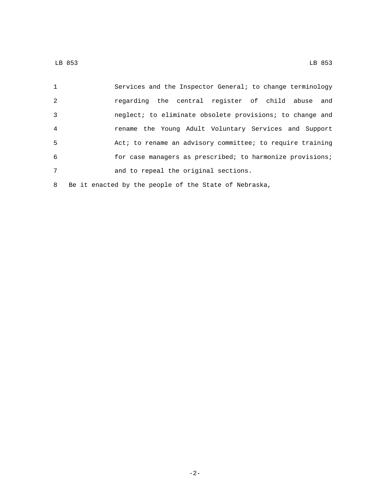| $\mathbf{1}$   | Services and the Inspector General; to change terminology |
|----------------|-----------------------------------------------------------|
| 2              | regarding the central register of child abuse and         |
| 3              | neglect; to eliminate obsolete provisions; to change and  |
| $\overline{4}$ | rename the Young Adult Voluntary Services and Support     |
| 5              | Act; to rename an advisory committee; to require training |
| 6              | for case managers as prescribed; to harmonize provisions; |
| 7              | and to repeal the original sections.                      |
| 8              | Be it enacted by the people of the State of Nebraska,     |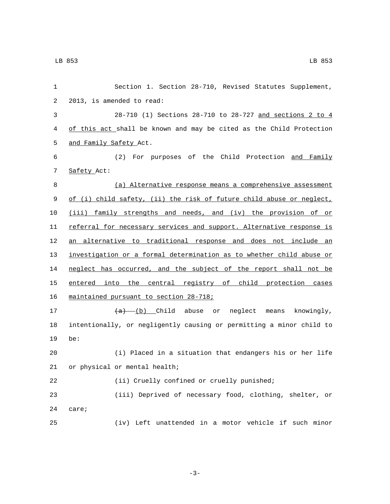| 1  | Section 1. Section 28-710, Revised Statutes Supplement,              |
|----|----------------------------------------------------------------------|
| 2  | 2013, is amended to read:                                            |
| 3  | 28-710 (1) Sections 28-710 to 28-727 and sections 2 to 4             |
| 4  | of this act shall be known and may be cited as the Child Protection  |
| 5  | and Family Safety Act.                                               |
| 6  | (2) For purposes of the Child Protection and Family                  |
| 7  | Safety Act:                                                          |
| 8  | (a) Alternative response means a comprehensive assessment            |
| 9  | of (i) child safety, (ii) the risk of future child abuse or neglect, |
| 10 | (iii) family strengths and needs, and (iv) the provision of or       |
| 11 | referral for necessary services and support. Alternative response is |
| 12 | an alternative to traditional response and does not include an       |
| 13 | investigation or a formal determination as to whether child abuse or |
| 14 | neglect has occurred, and the subject of the report shall not be     |
| 15 | entered into the central registry of child protection cases          |
| 16 | maintained pursuant to section 28-718;                               |
| 17 | $(a)$ (b) Child abuse or neglect means knowingly,                    |
| 18 | intentionally, or negligently causing or permitting a minor child to |
| 19 | be:                                                                  |
| 20 | (i) Placed in a situation that endangers his or her life             |
|    | 21 or physical or mental health;                                     |
| 22 | (ii) Cruelly confined or cruelly punished;                           |
| 23 | (iii) Deprived of necessary food, clothing, shelter, or              |
| 24 | care;                                                                |
| 25 | Left unattended in a motor vehicle if such minor<br>(iv)             |

-3-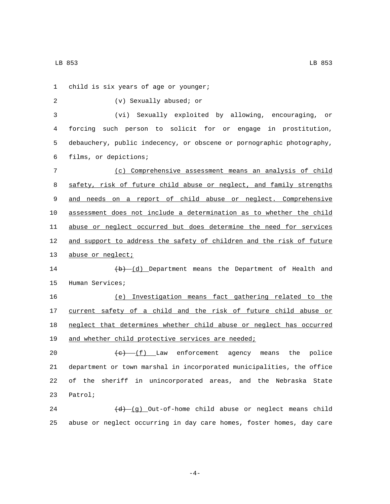LB 853 LB 853

1 child is six years of age or younger; (v) Sexually abused; or2 3 (vi) Sexually exploited by allowing, encouraging, or 4 forcing such person to solicit for or engage in prostitution, 5 debauchery, public indecency, or obscene or pornographic photography, films, or depictions;6 7 (c) Comprehensive assessment means an analysis of child 8 safety, risk of future child abuse or neglect, and family strengths 9 and needs on a report of child abuse or neglect. Comprehensive 10 assessment does not include a determination as to whether the child 11 abuse or neglect occurred but does determine the need for services 12 and support to address the safety of children and the risk of future 13 abuse or neglect; 14 (b) (d) Department means the Department of Health and 15 Human Services; 16 (e) Investigation means fact gathering related to the 17 current safety of a child and the risk of future child abuse or 18 neglect that determines whether child abuse or neglect has occurred 19 and whether child protective services are needed; 20  $\leftarrow$   $\leftarrow$   $\left( f \right)$  Law enforcement agency means the police 21 department or town marshal in incorporated municipalities, the office 22 of the sheriff in unincorporated areas, and the Nebraska State 23 Patrol;

24 (d) (g) Out-of-home child abuse or neglect means child 25 abuse or neglect occurring in day care homes, foster homes, day care

-4-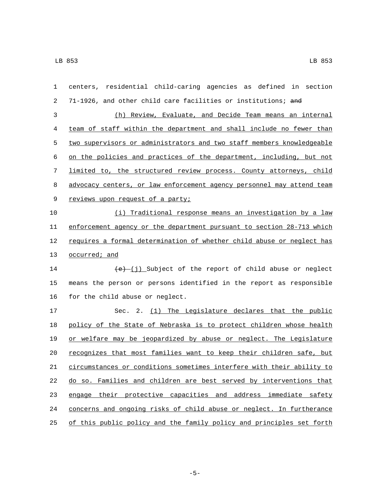| 1  | centers, residential child-caring agencies as defined in section      |
|----|-----------------------------------------------------------------------|
| 2  | 71-1926, and other child care facilities or institutions; and         |
| 3  | (h) Review, Evaluate, and Decide Team means an internal               |
| 4  | team of staff within the department and shall include no fewer than   |
| 5  | two supervisors or administrators and two staff members knowledgeable |
| 6  | on the policies and practices of the department, including, but not   |
| 7  | limited to, the structured review process. County attorneys, child    |
| 8  | advocacy centers, or law enforcement agency personnel may attend team |
| 9  | reviews upon request of a party;                                      |
| 10 | (i) Traditional response means an investigation by a law              |
| 11 | enforcement agency or the department pursuant to section 28-713 which |
| 12 | requires a formal determination of whether child abuse or neglect has |
| 13 | occurred; and                                                         |
| 14 | $(e)$ (j) Subject of the report of child abuse or neglect             |
| 15 | means the person or persons identified in the report as responsible   |
| 16 | for the child abuse or neglect.                                       |
| 17 | Sec. 2. (1) The Legislature declares that the public                  |
| 18 | policy of the State of Nebraska is to protect children whose health   |
| 19 | or welfare may be jeopardized by abuse or neglect. The Legislature    |
| 20 | recognizes that most families want to keep their children safe, but   |
| 21 | circumstances or conditions sometimes interfere with their ability to |
| 22 | do so. Families and children are best served by interventions that    |
| 23 | engage their protective capacities and address immediate safety       |
| 24 | concerns and ongoing risks of child abuse or neglect. In furtherance  |
| 25 | of this public policy and the family policy and principles set forth  |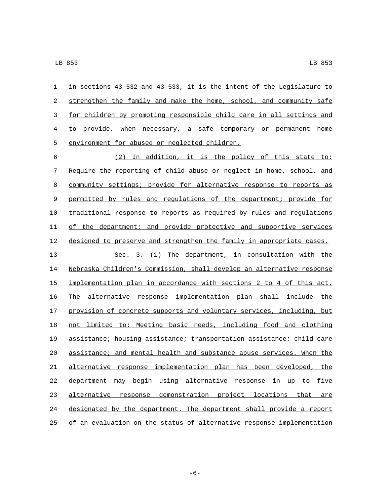in sections 43-532 and 43-533, it is the intent of the Legislature to 2 strengthen the family and make the home, school, and community safe for children by promoting responsible child care in all settings and to provide, when necessary, a safe temporary or permanent home 5 environment for abused or neglected children.

 (2) In addition, it is the policy of this state to: Require the reporting of child abuse or neglect in home, school, and community settings; provide for alternative response to reports as permitted by rules and regulations of the department; provide for traditional response to reports as required by rules and regulations of the department; and provide protective and supportive services designed to preserve and strengthen the family in appropriate cases. Sec. 3. (1) The department, in consultation with the Nebraska Children's Commission, shall develop an alternative response implementation plan in accordance with sections 2 to 4 of this act. The alternative response implementation plan shall include the 17 provision of concrete supports and voluntary services, including, but not limited to: Meeting basic needs, including food and clothing assistance; housing assistance; transportation assistance; child care assistance; and mental health and substance abuse services. When the alternative response implementation plan has been developed, the department may begin using alternative response in up to five alternative response demonstration project locations that are designated by the department. The department shall provide a report of an evaluation on the status of alternative response implementation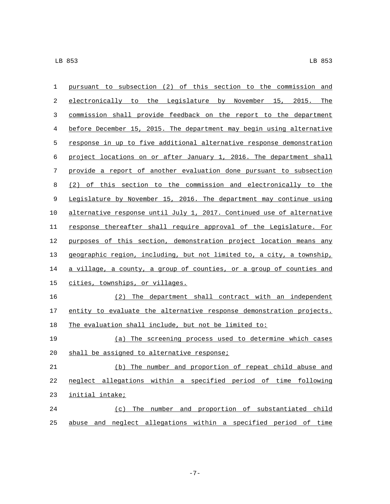| 1                | pursuant to subsection (2) of this section to the commission and      |
|------------------|-----------------------------------------------------------------------|
| 2                | electronically to the Legislature by November 15, 2015. The           |
| 3                | commission shall provide feedback on the report to the department     |
| 4                | before December 15, 2015. The department may begin using alternative  |
| 5                | response in up to five additional alternative response demonstration  |
| 6                | project locations on or after January 1, 2016. The department shall   |
| $\boldsymbol{7}$ | provide a report of another evaluation done pursuant to subsection    |
| 8                | (2) of this section to the commission and electronically to the       |
| 9                | Legislature by November 15, 2016. The department may continue using   |
| 10               | alternative response until July 1, 2017. Continued use of alternative |
| 11               | response thereafter shall require approval of the Legislature. For    |
| 12               | purposes of this section, demonstration project location means any    |
| 13               | geographic region, including, but not limited to, a city, a township, |
| 14               | a village, a county, a group of counties, or a group of counties and  |
| 15               | cities, townships, or villages.                                       |
| 16               | (2) The department shall contract with an independent                 |
| 17               | entity to evaluate the alternative response demonstration projects.   |
| 18               | The evaluation shall include, but not be limited to:                  |
| 19               | (a) The screening process used to determine which cases               |
| 20               | shall be assigned to alternative response;                            |
| 21               | (b) The number and proportion of repeat child abuse and               |
| 22               | neglect allegations within a specified period of time following       |
| 23               | initial intake;                                                       |
| 24               | (c) The number and proportion of substantiated child                  |
| 25               | abuse and neglect allegations within a specified period of time       |

-7-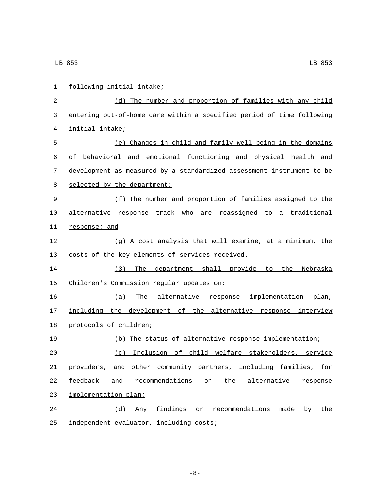| $\mathbf{1}$ | following initial intake;                                              |
|--------------|------------------------------------------------------------------------|
| 2            | (d) The number and proportion of families with any child               |
| 3            | entering out-of-home care within a specified period of time following  |
| 4            | initial intake;                                                        |
| 5            | (e) Changes in child and family well-being in the domains              |
| 6            | of behavioral and emotional functioning and physical health and        |
| 7            | development as measured by a standardized assessment instrument to be  |
| 8            | selected by the department;                                            |
| 9            | (f) The number and proportion of families assigned to the              |
| 10           | alternative response track who are reassigned to a traditional         |
| 11           | response; and                                                          |
| 12           | (g) A cost analysis that will examine, at a minimum, the               |
| 13           | costs of the key elements of services received.                        |
| 14           | The department shall provide to<br>the Nebraska<br>(3)                 |
| 15           | Children's Commission regular updates on:                              |
| 16           | The alternative response implementation plan,<br>(a)                   |
| 17           | including the development of the alternative response interview        |
| 18           | protocols of children;                                                 |
| 19           | (b) The status of alternative response implementation;                 |
| 20           | Inclusion of child welfare stakeholders, service<br>(C)                |
| 21           | and other community partners, including families,<br>providers,<br>for |
| 22           | feedback and recommendations<br>the<br>on<br>alternative<br>response   |
| 23           | implementation plan;                                                   |
| 24           | findings or recommendations made<br>(d)<br>Any<br>by<br>the            |
| 25           | independent evaluator, including costs;                                |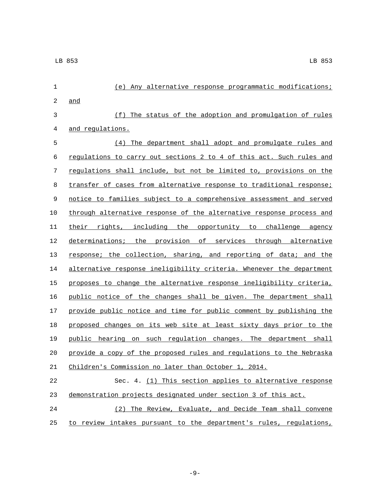| $\mathbf{1}$ | (e) Any alternative response programmatic modifications;             |
|--------------|----------------------------------------------------------------------|
| $\sqrt{2}$   | and                                                                  |
| 3            | (f) The status of the adoption and promulgation of rules             |
| 4            | and regulations.                                                     |
| 5            | The department shall adopt and promulgate rules and<br>(4)           |
| 6            | regulations to carry out sections 2 to 4 of this act. Such rules and |
| 7            | regulations shall include, but not be limited to, provisions on the  |
| 8            | transfer of cases from alternative response to traditional response; |
| 9            | notice to families subject to a comprehensive assessment and served  |
| 10           | through alternative response of the alternative response process and |
| 11           | their rights, including the opportunity to challenge agency          |
| 12           | determinations; the provision of services through alternative        |
| 13           | response; the collection, sharing, and reporting of data; and the    |
| 14           | alternative response ineligibility criteria. Whenever the department |
| 15           | proposes to change the alternative response ineligibility criteria,  |
| 16           | public notice of the changes shall be given. The department shall    |
| 17           | provide public notice and time for public comment by publishing the  |
| 18           | proposed changes on its web site at least sixty days prior to the    |
| 19           | public hearing on such regulation changes. The department shall      |
| 20           | provide a copy of the proposed rules and regulations to the Nebraska |
| 21           | Children's Commission no later than October 1, 2014.                 |
| 22           | Sec. 4. (1) This section applies to alternative response             |
| 23           | demonstration projects designated under section 3 of this act.       |
| 24           | (2) The Review, Evaluate, and Decide Team shall convene              |
| 25           | to review intakes pursuant to the department's rules, regulations,   |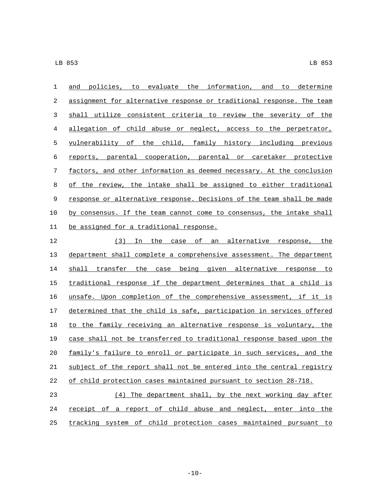| 1  | to evaluate the information,<br>policies,<br>and<br>determine<br>and<br>to |
|----|----------------------------------------------------------------------------|
| 2  | assignment for alternative response or traditional response. The team      |
| 3  | shall utilize consistent criteria to review the severity of the            |
| 4  | allegation of child abuse or neglect, access to the perpetrator,           |
| 5  | vulnerability of the child, family history including previous              |
| 6  | reports, parental cooperation, parental or caretaker protective            |
| 7  | factors, and other information as deemed necessary. At the conclusion      |
| 8  | of the review, the intake shall be assigned to either traditional          |
| 9  | response or alternative response. Decisions of the team shall be made      |
| 10 | by consensus. If the team cannot come to consensus, the intake shall       |
| 11 | be assigned for a traditional response.                                    |
| 12 | (3)<br>оf<br>an alternative response,<br>the<br>the<br>In<br>case          |
|    |                                                                            |

 department shall complete a comprehensive assessment. The department shall transfer the case being given alternative response to 15 traditional response if the department determines that a child is unsafe. Upon completion of the comprehensive assessment, if it is determined that the child is safe, participation in services offered 18 to the family receiving an alternative response is voluntary, the case shall not be transferred to traditional response based upon the family's failure to enroll or participate in such services, and the 21 subject of the report shall not be entered into the central registry of child protection cases maintained pursuant to section 28-718.

 (4) The department shall, by the next working day after 24 <u>receipt of a report of child abuse and neglect</u>, enter into the tracking system of child protection cases maintained pursuant to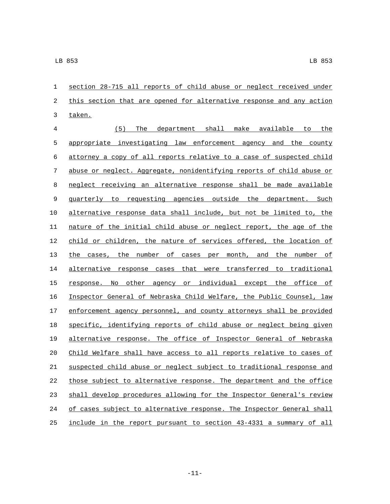section 28-715 all reports of child abuse or neglect received under 2 this section that are opened for alternative response and any action 3 taken.

 (5) The department shall make available to the appropriate investigating law enforcement agency and the county attorney a copy of all reports relative to a case of suspected child abuse or neglect. Aggregate, nonidentifying reports of child abuse or neglect receiving an alternative response shall be made available quarterly to requesting agencies outside the department. Such alternative response data shall include, but not be limited to, the nature of the initial child abuse or neglect report, the age of the child or children, the nature of services offered, the location of 13 the cases, the number of cases per month, and the number of alternative response cases that were transferred to traditional 15 response. No other agency or individual except the office of Inspector General of Nebraska Child Welfare, the Public Counsel, law enforcement agency personnel, and county attorneys shall be provided specific, identifying reports of child abuse or neglect being given alternative response. The office of Inspector General of Nebraska Child Welfare shall have access to all reports relative to cases of suspected child abuse or neglect subject to traditional response and those subject to alternative response. The department and the office shall develop procedures allowing for the Inspector General's review 24 of cases subject to alternative response. The Inspector General shall include in the report pursuant to section 43-4331 a summary of all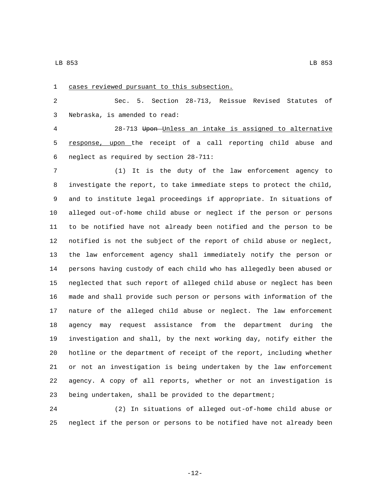1 cases reviewed pursuant to this subsection. Sec. 5. Section 28-713, Reissue Revised Statutes of Nebraska, is amended to read:3 28-713 Upon Unless an intake is assigned to alternative response, upon the receipt of a call reporting child abuse and 6 neglect as required by section  $28-711$ : (1) It is the duty of the law enforcement agency to investigate the report, to take immediate steps to protect the child, and to institute legal proceedings if appropriate. In situations of alleged out-of-home child abuse or neglect if the person or persons to be notified have not already been notified and the person to be notified is not the subject of the report of child abuse or neglect, the law enforcement agency shall immediately notify the person or persons having custody of each child who has allegedly been abused or neglected that such report of alleged child abuse or neglect has been made and shall provide such person or persons with information of the nature of the alleged child abuse or neglect. The law enforcement agency may request assistance from the department during the investigation and shall, by the next working day, notify either the hotline or the department of receipt of the report, including whether or not an investigation is being undertaken by the law enforcement agency. A copy of all reports, whether or not an investigation is being undertaken, shall be provided to the department;

 (2) In situations of alleged out-of-home child abuse or neglect if the person or persons to be notified have not already been

-12-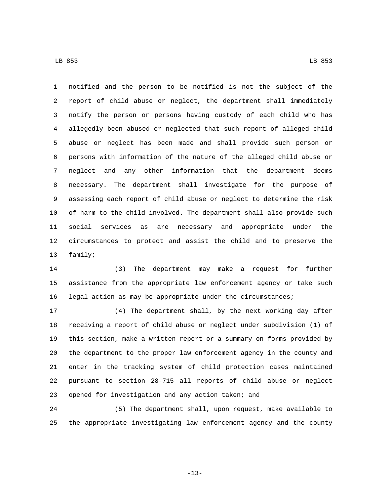notified and the person to be notified is not the subject of the report of child abuse or neglect, the department shall immediately notify the person or persons having custody of each child who has allegedly been abused or neglected that such report of alleged child abuse or neglect has been made and shall provide such person or persons with information of the nature of the alleged child abuse or neglect and any other information that the department deems necessary. The department shall investigate for the purpose of assessing each report of child abuse or neglect to determine the risk

 of harm to the child involved. The department shall also provide such social services as are necessary and appropriate under the circumstances to protect and assist the child and to preserve the 13 family;

 (3) The department may make a request for further assistance from the appropriate law enforcement agency or take such legal action as may be appropriate under the circumstances;

 (4) The department shall, by the next working day after receiving a report of child abuse or neglect under subdivision (1) of this section, make a written report or a summary on forms provided by the department to the proper law enforcement agency in the county and enter in the tracking system of child protection cases maintained pursuant to section 28-715 all reports of child abuse or neglect opened for investigation and any action taken; and

 (5) The department shall, upon request, make available to the appropriate investigating law enforcement agency and the county

-13-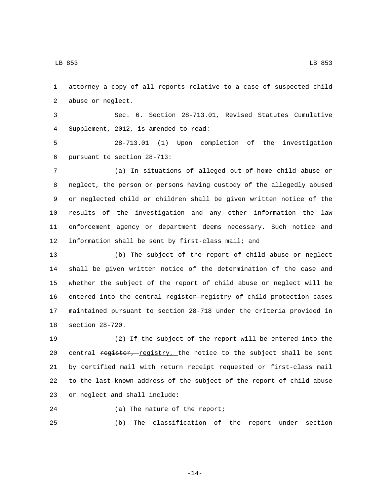LB 853 LB 853

 attorney a copy of all reports relative to a case of suspected child 2 abuse or neglect.

 Sec. 6. Section 28-713.01, Revised Statutes Cumulative Supplement, 2012, is amended to read:4

 28-713.01 (1) Upon completion of the investigation 6 pursuant to section 28-713:

 (a) In situations of alleged out-of-home child abuse or neglect, the person or persons having custody of the allegedly abused or neglected child or children shall be given written notice of the results of the investigation and any other information the law enforcement agency or department deems necessary. Such notice and information shall be sent by first-class mail; and

 (b) The subject of the report of child abuse or neglect shall be given written notice of the determination of the case and whether the subject of the report of child abuse or neglect will be 16 entered into the central register-registry of child protection cases maintained pursuant to section 28-718 under the criteria provided in 18 section 28-720.

 (2) If the subject of the report will be entered into the 20 central register, registry, the notice to the subject shall be sent by certified mail with return receipt requested or first-class mail to the last-known address of the subject of the report of child abuse 23 or neglect and shall include:

24 (a) The nature of the report;

(b) The classification of the report under section

-14-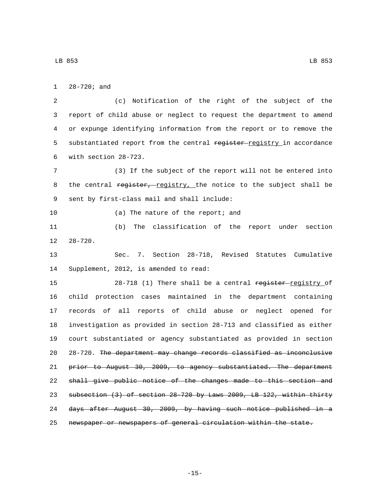1 28-720; and

2 (c) Notification of the right of the subject of the 3 report of child abuse or neglect to request the department to amend 4 or expunge identifying information from the report or to remove the 5 substantiated report from the central register-registry in accordance with section 28-723.6

7 (3) If the subject of the report will not be entered into 8 the central register, registry, the notice to the subject shall be 9 sent by first-class mail and shall include:

10 (a) The nature of the report; and

11 (b) The classification of the report under section  $12 \t 28-720$ .

13 Sec. 7. Section 28-718, Revised Statutes Cumulative 14 Supplement, 2012, is amended to read:

15 28-718 (1) There shall be a central register-registry of child protection cases maintained in the department containing records of all reports of child abuse or neglect opened for investigation as provided in section 28-713 and classified as either court substantiated or agency substantiated as provided in section 28-720. The department may change records classified as inconclusive prior to August 30, 2009, to agency substantiated. The department 22 shall give public notice of the changes made to this section and subsection (3) of section 28-720 by Laws 2009, LB 122, within thirty days after August 30, 2009, by having such notice published in a newspaper or newspapers of general circulation within the state.

-15-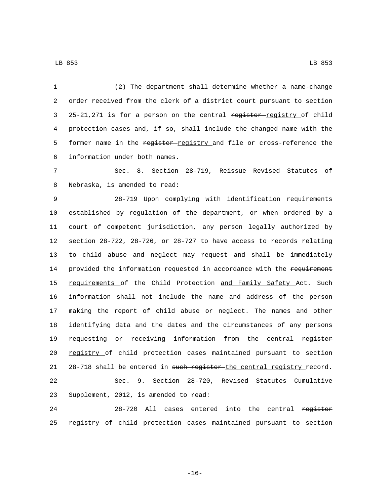1 (2) The department shall determine whether a name-change 2 order received from the clerk of a district court pursuant to section 3 25-21,271 is for a person on the central register-registry of child 4 protection cases and, if so, shall include the changed name with the 5 former name in the register registry and file or cross-reference the information under both names.6

7 Sec. 8. Section 28-719, Reissue Revised Statutes of 8 Nebraska, is amended to read:

9 28-719 Upon complying with identification requirements 10 established by regulation of the department, or when ordered by a 11 court of competent jurisdiction, any person legally authorized by 12 section 28-722, 28-726, or 28-727 to have access to records relating 13 to child abuse and neglect may request and shall be immediately 14 provided the information requested in accordance with the requirement 15 requirements of the Child Protection and Family Safety Act. Such 16 information shall not include the name and address of the person 17 making the report of child abuse or neglect. The names and other 18 identifying data and the dates and the circumstances of any persons 19 requesting or receiving information from the central register 20 registry of child protection cases maintained pursuant to section 21 28-718 shall be entered in such register the central registry record. 22 Sec. 9. Section 28-720, Revised Statutes Cumulative 23 Supplement, 2012, is amended to read:

24 28-720 All cases entered into the central register 25 registry of child protection cases maintained pursuant to section

-16-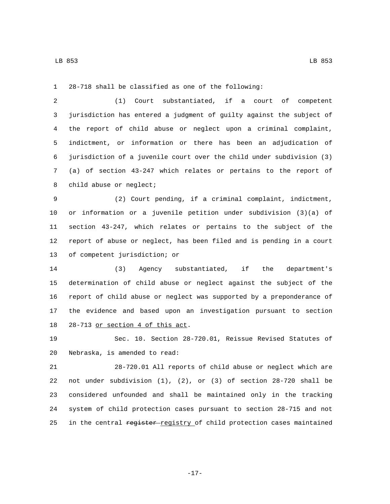28-718 shall be classified as one of the following:

 (1) Court substantiated, if a court of competent jurisdiction has entered a judgment of guilty against the subject of the report of child abuse or neglect upon a criminal complaint, indictment, or information or there has been an adjudication of jurisdiction of a juvenile court over the child under subdivision (3) (a) of section 43-247 which relates or pertains to the report of 8 child abuse or neglect;

 (2) Court pending, if a criminal complaint, indictment, or information or a juvenile petition under subdivision (3)(a) of section 43-247, which relates or pertains to the subject of the report of abuse or neglect, has been filed and is pending in a court 13 of competent jurisdiction; or

 (3) Agency substantiated, if the department's determination of child abuse or neglect against the subject of the report of child abuse or neglect was supported by a preponderance of the evidence and based upon an investigation pursuant to section 18 28-713 or section 4 of this act.

 Sec. 10. Section 28-720.01, Reissue Revised Statutes of 20 Nebraska, is amended to read:

 28-720.01 All reports of child abuse or neglect which are not under subdivision (1), (2), or (3) of section 28-720 shall be considered unfounded and shall be maintained only in the tracking system of child protection cases pursuant to section 28-715 and not 25 in the central register-registry of child protection cases maintained

-17-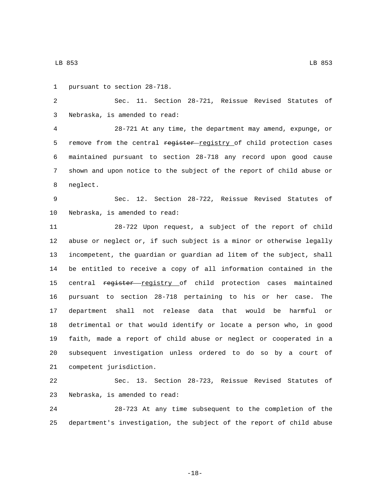1 pursuant to section 28-718.

 Sec. 11. Section 28-721, Reissue Revised Statutes of Nebraska, is amended to read:3

 28-721 At any time, the department may amend, expunge, or 5 remove from the central register registry of child protection cases maintained pursuant to section 28-718 any record upon good cause shown and upon notice to the subject of the report of child abuse or 8 neglect.

 Sec. 12. Section 28-722, Reissue Revised Statutes of 10 Nebraska, is amended to read:

 28-722 Upon request, a subject of the report of child abuse or neglect or, if such subject is a minor or otherwise legally incompetent, the guardian or guardian ad litem of the subject, shall be entitled to receive a copy of all information contained in the 15 central register registry of child protection cases maintained pursuant to section 28-718 pertaining to his or her case. The department shall not release data that would be harmful or detrimental or that would identify or locate a person who, in good faith, made a report of child abuse or neglect or cooperated in a subsequent investigation unless ordered to do so by a court of 21 competent jurisdiction.

 Sec. 13. Section 28-723, Reissue Revised Statutes of 23 Nebraska, is amended to read:

 28-723 At any time subsequent to the completion of the department's investigation, the subject of the report of child abuse

-18-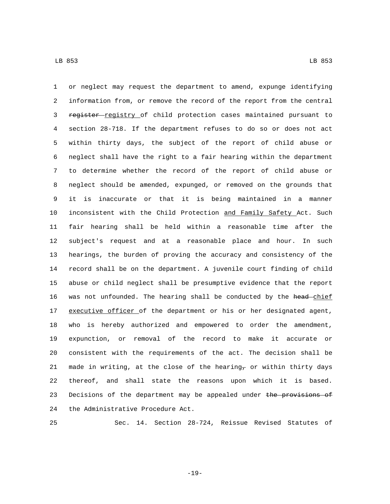or neglect may request the department to amend, expunge identifying information from, or remove the record of the report from the central 3 register registry of child protection cases maintained pursuant to section 28-718. If the department refuses to do so or does not act within thirty days, the subject of the report of child abuse or neglect shall have the right to a fair hearing within the department to determine whether the record of the report of child abuse or neglect should be amended, expunged, or removed on the grounds that it is inaccurate or that it is being maintained in a manner 10 inconsistent with the Child Protection and Family Safety Act. Such fair hearing shall be held within a reasonable time after the subject's request and at a reasonable place and hour. In such hearings, the burden of proving the accuracy and consistency of the record shall be on the department. A juvenile court finding of child abuse or child neglect shall be presumptive evidence that the report 16 was not unfounded. The hearing shall be conducted by the head-chief 17 executive officer of the department or his or her designated agent, who is hereby authorized and empowered to order the amendment, expunction, or removal of the record to make it accurate or consistent with the requirements of the act. The decision shall be 21 made in writing, at the close of the hearing  $\tau$  or within thirty days thereof, and shall state the reasons upon which it is based. 23 Decisions of the department may be appealed under the provisions of 24 the Administrative Procedure Act.

Sec. 14. Section 28-724, Reissue Revised Statutes of

-19-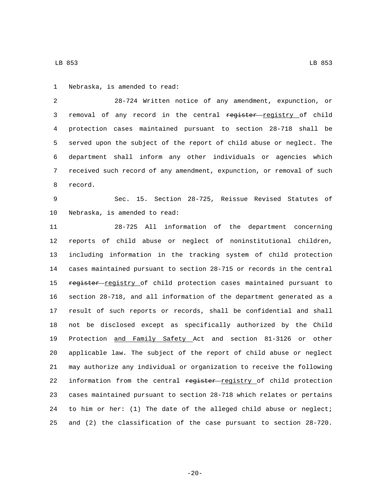1 Nebraska, is amended to read:

 28-724 Written notice of any amendment, expunction, or 3 removal of any record in the central register registry of child protection cases maintained pursuant to section 28-718 shall be served upon the subject of the report of child abuse or neglect. The department shall inform any other individuals or agencies which received such record of any amendment, expunction, or removal of such 8 record.

 Sec. 15. Section 28-725, Reissue Revised Statutes of 10 Nebraska, is amended to read:

 28-725 All information of the department concerning reports of child abuse or neglect of noninstitutional children, including information in the tracking system of child protection cases maintained pursuant to section 28-715 or records in the central 15 register registry of child protection cases maintained pursuant to section 28-718, and all information of the department generated as a result of such reports or records, shall be confidential and shall not be disclosed except as specifically authorized by the Child Protection and Family Safety Act and section 81-3126 or other applicable law. The subject of the report of child abuse or neglect may authorize any individual or organization to receive the following 22 information from the central register registry of child protection cases maintained pursuant to section 28-718 which relates or pertains to him or her: (1) The date of the alleged child abuse or neglect; and (2) the classification of the case pursuant to section 28-720.

LB 853 LB 853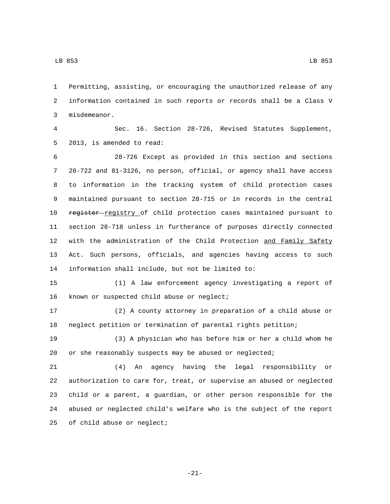Permitting, assisting, or encouraging the unauthorized release of any information contained in such reports or records shall be a Class V 3 misdemeanor.

 Sec. 16. Section 28-726, Revised Statutes Supplement, 5 2013, is amended to read:

 28-726 Except as provided in this section and sections 28-722 and 81-3126, no person, official, or agency shall have access to information in the tracking system of child protection cases maintained pursuant to section 28-715 or in records in the central 10 register registry of child protection cases maintained pursuant to section 28-718 unless in furtherance of purposes directly connected 12 with the administration of the Child Protection and Family Safety Act. Such persons, officials, and agencies having access to such 14 information shall include, but not be limited to:

 (1) A law enforcement agency investigating a report of 16 known or suspected child abuse or neglect;

 (2) A county attorney in preparation of a child abuse or neglect petition or termination of parental rights petition;

 (3) A physician who has before him or her a child whom he or she reasonably suspects may be abused or neglected;

 (4) An agency having the legal responsibility or authorization to care for, treat, or supervise an abused or neglected child or a parent, a guardian, or other person responsible for the abused or neglected child's welfare who is the subject of the report 25 of child abuse or neglect;

-21-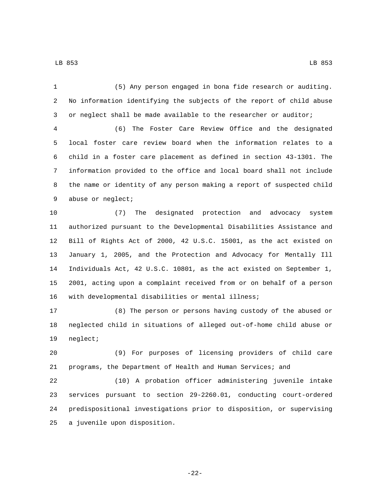(5) Any person engaged in bona fide research or auditing.

 No information identifying the subjects of the report of child abuse or neglect shall be made available to the researcher or auditor;

 (6) The Foster Care Review Office and the designated local foster care review board when the information relates to a child in a foster care placement as defined in section 43-1301. The information provided to the office and local board shall not include the name or identity of any person making a report of suspected child 9 abuse or neglect;

 (7) The designated protection and advocacy system authorized pursuant to the Developmental Disabilities Assistance and Bill of Rights Act of 2000, 42 U.S.C. 15001, as the act existed on January 1, 2005, and the Protection and Advocacy for Mentally Ill Individuals Act, 42 U.S.C. 10801, as the act existed on September 1, 2001, acting upon a complaint received from or on behalf of a person with developmental disabilities or mental illness;

 (8) The person or persons having custody of the abused or neglected child in situations of alleged out-of-home child abuse or 19 neglect;

 (9) For purposes of licensing providers of child care programs, the Department of Health and Human Services; and

 (10) A probation officer administering juvenile intake services pursuant to section 29-2260.01, conducting court-ordered predispositional investigations prior to disposition, or supervising 25 a juvenile upon disposition.

-22-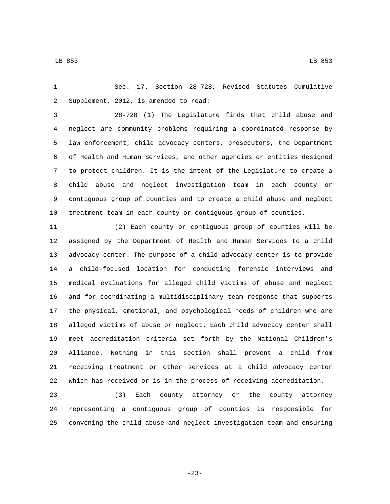Sec. 17. Section 28-728, Revised Statutes Cumulative 2 Supplement, 2012, is amended to read:

 28-728 (1) The Legislature finds that child abuse and neglect are community problems requiring a coordinated response by law enforcement, child advocacy centers, prosecutors, the Department of Health and Human Services, and other agencies or entities designed to protect children. It is the intent of the Legislature to create a child abuse and neglect investigation team in each county or contiguous group of counties and to create a child abuse and neglect treatment team in each county or contiguous group of counties.

 (2) Each county or contiguous group of counties will be assigned by the Department of Health and Human Services to a child advocacy center. The purpose of a child advocacy center is to provide a child-focused location for conducting forensic interviews and medical evaluations for alleged child victims of abuse and neglect and for coordinating a multidisciplinary team response that supports the physical, emotional, and psychological needs of children who are alleged victims of abuse or neglect. Each child advocacy center shall meet accreditation criteria set forth by the National Children's Alliance. Nothing in this section shall prevent a child from receiving treatment or other services at a child advocacy center which has received or is in the process of receiving accreditation.

 (3) Each county attorney or the county attorney representing a contiguous group of counties is responsible for convening the child abuse and neglect investigation team and ensuring

-23-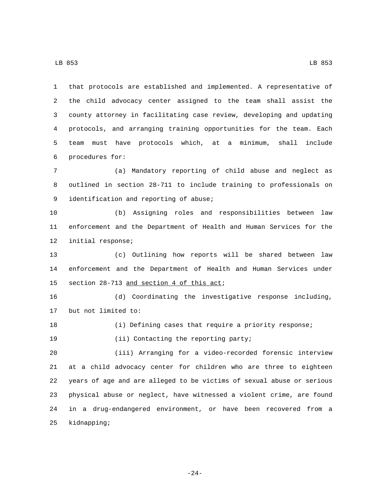LB 853 LB 853

 that protocols are established and implemented. A representative of the child advocacy center assigned to the team shall assist the county attorney in facilitating case review, developing and updating protocols, and arranging training opportunities for the team. Each team must have protocols which, at a minimum, shall include procedures for:6

 (a) Mandatory reporting of child abuse and neglect as outlined in section 28-711 to include training to professionals on 9 identification and reporting of abuse;

 (b) Assigning roles and responsibilities between law enforcement and the Department of Health and Human Services for the 12 initial response;

 (c) Outlining how reports will be shared between law enforcement and the Department of Health and Human Services under 15 section 28-713 and section 4 of this act;

 (d) Coordinating the investigative response including, 17 but not limited to:

(i) Defining cases that require a priority response;

19 (ii) Contacting the reporting party;

 (iii) Arranging for a video-recorded forensic interview at a child advocacy center for children who are three to eighteen years of age and are alleged to be victims of sexual abuse or serious physical abuse or neglect, have witnessed a violent crime, are found in a drug-endangered environment, or have been recovered from a 25 kidnapping;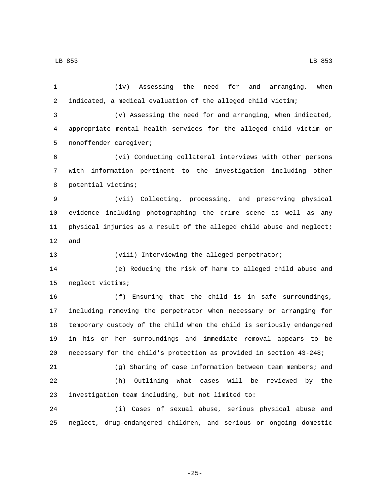(iv) Assessing the need for and arranging, when indicated, a medical evaluation of the alleged child victim; (v) Assessing the need for and arranging, when indicated, appropriate mental health services for the alleged child victim or 5 nonoffender caregiver; (vi) Conducting collateral interviews with other persons with information pertinent to the investigation including other 8 potential victims; (vii) Collecting, processing, and preserving physical evidence including photographing the crime scene as well as any physical injuries as a result of the alleged child abuse and neglect; and (viii) Interviewing the alleged perpetrator; (e) Reducing the risk of harm to alleged child abuse and 15 neglect victims; (f) Ensuring that the child is in safe surroundings, including removing the perpetrator when necessary or arranging for temporary custody of the child when the child is seriously endangered in his or her surroundings and immediate removal appears to be necessary for the child's protection as provided in section 43-248; (g) Sharing of case information between team members; and (h) Outlining what cases will be reviewed by the 23 investigation team including, but not limited to: (i) Cases of sexual abuse, serious physical abuse and neglect, drug-endangered children, and serious or ongoing domestic

-25-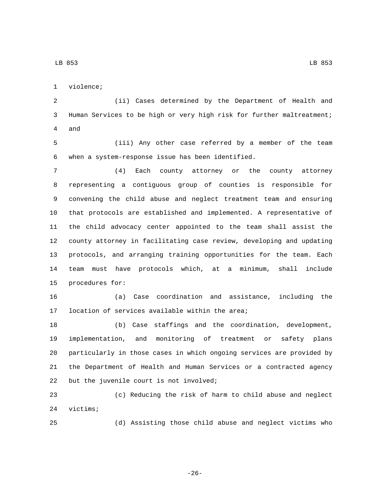1 violence;

 (ii) Cases determined by the Department of Health and Human Services to be high or very high risk for further maltreatment; 4 and

 (iii) Any other case referred by a member of the team when a system-response issue has been identified.6

 (4) Each county attorney or the county attorney representing a contiguous group of counties is responsible for convening the child abuse and neglect treatment team and ensuring that protocols are established and implemented. A representative of the child advocacy center appointed to the team shall assist the county attorney in facilitating case review, developing and updating protocols, and arranging training opportunities for the team. Each team must have protocols which, at a minimum, shall include 15 procedures for:

 (a) Case coordination and assistance, including the 17 location of services available within the area;

 (b) Case staffings and the coordination, development, implementation, and monitoring of treatment or safety plans particularly in those cases in which ongoing services are provided by the Department of Health and Human Services or a contracted agency 22 but the juvenile court is not involved;

 (c) Reducing the risk of harm to child abuse and neglect 24 victims;

(d) Assisting those child abuse and neglect victims who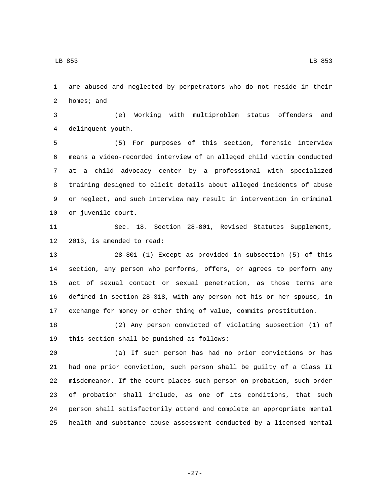LB 853 LB 853

 are abused and neglected by perpetrators who do not reside in their homes; and

 (e) Working with multiproblem status offenders and delinquent youth.4

 (5) For purposes of this section, forensic interview means a video-recorded interview of an alleged child victim conducted at a child advocacy center by a professional with specialized training designed to elicit details about alleged incidents of abuse or neglect, and such interview may result in intervention in criminal 10 or juvenile court.

 Sec. 18. Section 28-801, Revised Statutes Supplement, 12 2013, is amended to read:

 28-801 (1) Except as provided in subsection (5) of this section, any person who performs, offers, or agrees to perform any act of sexual contact or sexual penetration, as those terms are defined in section 28-318, with any person not his or her spouse, in exchange for money or other thing of value, commits prostitution.

 (2) Any person convicted of violating subsection (1) of 19 this section shall be punished as follows:

 (a) If such person has had no prior convictions or has had one prior conviction, such person shall be guilty of a Class II misdemeanor. If the court places such person on probation, such order of probation shall include, as one of its conditions, that such person shall satisfactorily attend and complete an appropriate mental health and substance abuse assessment conducted by a licensed mental

-27-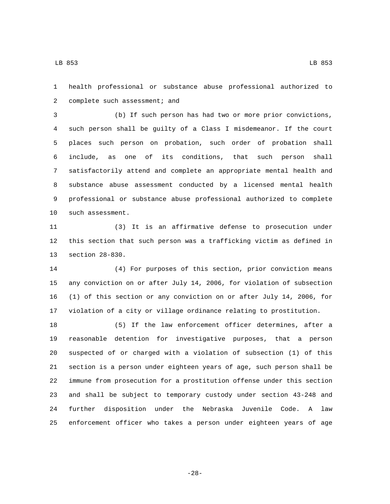health professional or substance abuse professional authorized to 2 complete such assessment; and

 (b) If such person has had two or more prior convictions, such person shall be guilty of a Class I misdemeanor. If the court places such person on probation, such order of probation shall include, as one of its conditions, that such person shall satisfactorily attend and complete an appropriate mental health and substance abuse assessment conducted by a licensed mental health professional or substance abuse professional authorized to complete 10 such assessment.

 (3) It is an affirmative defense to prosecution under this section that such person was a trafficking victim as defined in 13 section 28-830.

 (4) For purposes of this section, prior conviction means any conviction on or after July 14, 2006, for violation of subsection (1) of this section or any conviction on or after July 14, 2006, for violation of a city or village ordinance relating to prostitution.

 (5) If the law enforcement officer determines, after a reasonable detention for investigative purposes, that a person suspected of or charged with a violation of subsection (1) of this section is a person under eighteen years of age, such person shall be immune from prosecution for a prostitution offense under this section and shall be subject to temporary custody under section 43-248 and further disposition under the Nebraska Juvenile Code. A law enforcement officer who takes a person under eighteen years of age

-28-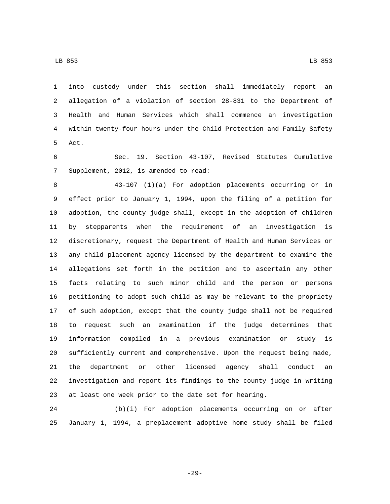into custody under this section shall immediately report an allegation of a violation of section 28-831 to the Department of

 Health and Human Services which shall commence an investigation within twenty-four hours under the Child Protection and Family Safety 5 Act.

 Sec. 19. Section 43-107, Revised Statutes Cumulative 7 Supplement, 2012, is amended to read:

 43-107 (1)(a) For adoption placements occurring or in effect prior to January 1, 1994, upon the filing of a petition for adoption, the county judge shall, except in the adoption of children by stepparents when the requirement of an investigation is discretionary, request the Department of Health and Human Services or any child placement agency licensed by the department to examine the allegations set forth in the petition and to ascertain any other facts relating to such minor child and the person or persons petitioning to adopt such child as may be relevant to the propriety of such adoption, except that the county judge shall not be required to request such an examination if the judge determines that information compiled in a previous examination or study is sufficiently current and comprehensive. Upon the request being made, the department or other licensed agency shall conduct an investigation and report its findings to the county judge in writing at least one week prior to the date set for hearing.

 (b)(i) For adoption placements occurring on or after January 1, 1994, a preplacement adoptive home study shall be filed

-29-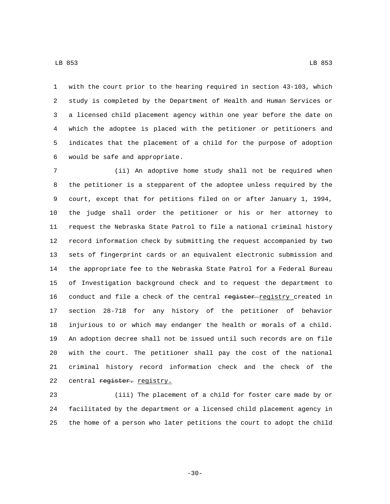with the court prior to the hearing required in section 43-103, which study is completed by the Department of Health and Human Services or a licensed child placement agency within one year before the date on which the adoptee is placed with the petitioner or petitioners and indicates that the placement of a child for the purpose of adoption 6 would be safe and appropriate.

 (ii) An adoptive home study shall not be required when the petitioner is a stepparent of the adoptee unless required by the court, except that for petitions filed on or after January 1, 1994, the judge shall order the petitioner or his or her attorney to request the Nebraska State Patrol to file a national criminal history record information check by submitting the request accompanied by two sets of fingerprint cards or an equivalent electronic submission and the appropriate fee to the Nebraska State Patrol for a Federal Bureau of Investigation background check and to request the department to 16 conduct and file a check of the central register registry created in section 28-718 for any history of the petitioner of behavior injurious to or which may endanger the health or morals of a child. An adoption decree shall not be issued until such records are on file with the court. The petitioner shall pay the cost of the national criminal history record information check and the check of the 22 central register. registry.

 (iii) The placement of a child for foster care made by or facilitated by the department or a licensed child placement agency in the home of a person who later petitions the court to adopt the child

-30-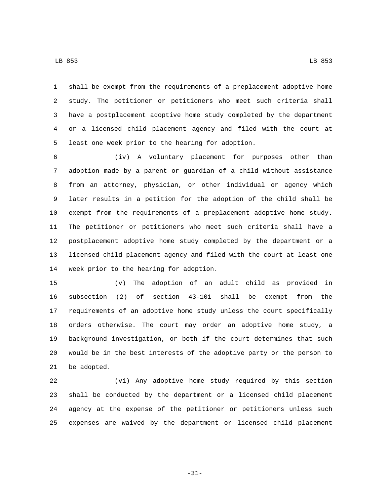shall be exempt from the requirements of a preplacement adoptive home study. The petitioner or petitioners who meet such criteria shall have a postplacement adoptive home study completed by the department or a licensed child placement agency and filed with the court at 5 least one week prior to the hearing for adoption.

 (iv) A voluntary placement for purposes other than adoption made by a parent or guardian of a child without assistance from an attorney, physician, or other individual or agency which later results in a petition for the adoption of the child shall be exempt from the requirements of a preplacement adoptive home study. The petitioner or petitioners who meet such criteria shall have a postplacement adoptive home study completed by the department or a licensed child placement agency and filed with the court at least one 14 week prior to the hearing for adoption.

 (v) The adoption of an adult child as provided in subsection (2) of section 43-101 shall be exempt from the requirements of an adoptive home study unless the court specifically orders otherwise. The court may order an adoptive home study, a background investigation, or both if the court determines that such would be in the best interests of the adoptive party or the person to 21 be adopted.

 (vi) Any adoptive home study required by this section shall be conducted by the department or a licensed child placement agency at the expense of the petitioner or petitioners unless such expenses are waived by the department or licensed child placement

-31-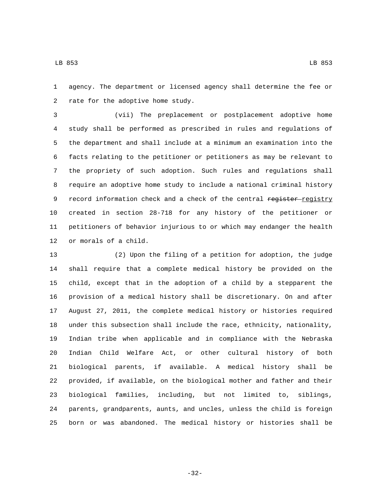LB 853 LB 853

 agency. The department or licensed agency shall determine the fee or 2 rate for the adoptive home study.

 (vii) The preplacement or postplacement adoptive home study shall be performed as prescribed in rules and regulations of the department and shall include at a minimum an examination into the facts relating to the petitioner or petitioners as may be relevant to the propriety of such adoption. Such rules and regulations shall require an adoptive home study to include a national criminal history 9 record information check and a check of the central register-registry created in section 28-718 for any history of the petitioner or petitioners of behavior injurious to or which may endanger the health 12 or morals of a child.

 (2) Upon the filing of a petition for adoption, the judge shall require that a complete medical history be provided on the child, except that in the adoption of a child by a stepparent the provision of a medical history shall be discretionary. On and after August 27, 2011, the complete medical history or histories required under this subsection shall include the race, ethnicity, nationality, Indian tribe when applicable and in compliance with the Nebraska Indian Child Welfare Act, or other cultural history of both biological parents, if available. A medical history shall be provided, if available, on the biological mother and father and their biological families, including, but not limited to, siblings, parents, grandparents, aunts, and uncles, unless the child is foreign born or was abandoned. The medical history or histories shall be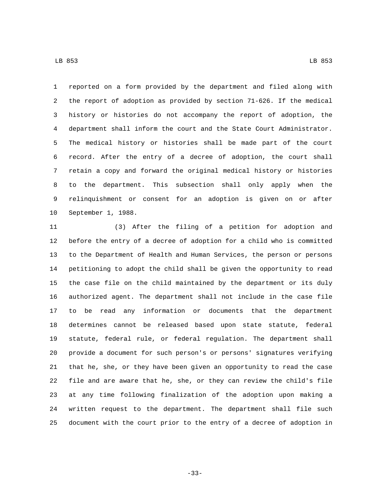reported on a form provided by the department and filed along with the report of adoption as provided by section 71-626. If the medical history or histories do not accompany the report of adoption, the department shall inform the court and the State Court Administrator. The medical history or histories shall be made part of the court record. After the entry of a decree of adoption, the court shall retain a copy and forward the original medical history or histories to the department. This subsection shall only apply when the relinquishment or consent for an adoption is given on or after 10 September 1, 1988.

 (3) After the filing of a petition for adoption and before the entry of a decree of adoption for a child who is committed to the Department of Health and Human Services, the person or persons petitioning to adopt the child shall be given the opportunity to read the case file on the child maintained by the department or its duly authorized agent. The department shall not include in the case file to be read any information or documents that the department determines cannot be released based upon state statute, federal statute, federal rule, or federal regulation. The department shall provide a document for such person's or persons' signatures verifying that he, she, or they have been given an opportunity to read the case file and are aware that he, she, or they can review the child's file at any time following finalization of the adoption upon making a written request to the department. The department shall file such document with the court prior to the entry of a decree of adoption in

-33-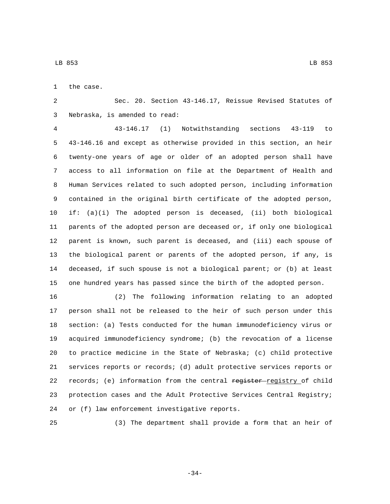1 the case.

 Sec. 20. Section 43-146.17, Reissue Revised Statutes of 3 Nebraska, is amended to read:

 43-146.17 (1) Notwithstanding sections 43-119 to 43-146.16 and except as otherwise provided in this section, an heir twenty-one years of age or older of an adopted person shall have access to all information on file at the Department of Health and Human Services related to such adopted person, including information contained in the original birth certificate of the adopted person, if: (a)(i) The adopted person is deceased, (ii) both biological parents of the adopted person are deceased or, if only one biological parent is known, such parent is deceased, and (iii) each spouse of the biological parent or parents of the adopted person, if any, is deceased, if such spouse is not a biological parent; or (b) at least one hundred years has passed since the birth of the adopted person.

 (2) The following information relating to an adopted person shall not be released to the heir of such person under this section: (a) Tests conducted for the human immunodeficiency virus or acquired immunodeficiency syndrome; (b) the revocation of a license to practice medicine in the State of Nebraska; (c) child protective services reports or records; (d) adult protective services reports or 22 records; (e) information from the central register-registry of child protection cases and the Adult Protective Services Central Registry; 24 or (f) law enforcement investigative reports.

(3) The department shall provide a form that an heir of

-34-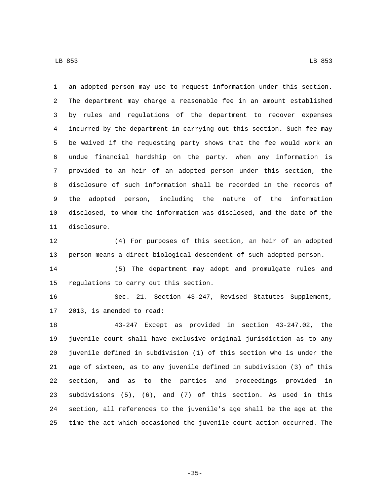an adopted person may use to request information under this section. The department may charge a reasonable fee in an amount established by rules and regulations of the department to recover expenses incurred by the department in carrying out this section. Such fee may be waived if the requesting party shows that the fee would work an undue financial hardship on the party. When any information is provided to an heir of an adopted person under this section, the disclosure of such information shall be recorded in the records of the adopted person, including the nature of the information disclosed, to whom the information was disclosed, and the date of the 11 disclosure.

 (4) For purposes of this section, an heir of an adopted person means a direct biological descendent of such adopted person.

 (5) The department may adopt and promulgate rules and 15 regulations to carry out this section.

 Sec. 21. Section 43-247, Revised Statutes Supplement, 17 2013, is amended to read:

 43-247 Except as provided in section 43-247.02, the juvenile court shall have exclusive original jurisdiction as to any juvenile defined in subdivision (1) of this section who is under the age of sixteen, as to any juvenile defined in subdivision (3) of this section, and as to the parties and proceedings provided in subdivisions (5), (6), and (7) of this section. As used in this section, all references to the juvenile's age shall be the age at the time the act which occasioned the juvenile court action occurred. The

-35-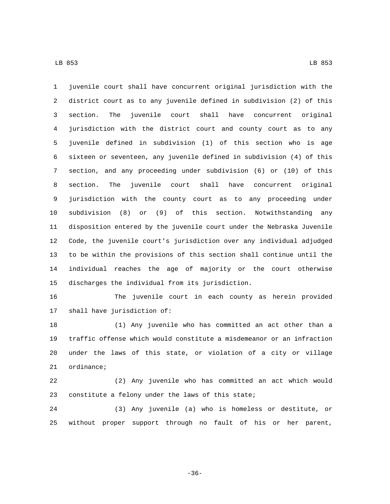juvenile court shall have concurrent original jurisdiction with the district court as to any juvenile defined in subdivision (2) of this section. The juvenile court shall have concurrent original jurisdiction with the district court and county court as to any juvenile defined in subdivision (1) of this section who is age sixteen or seventeen, any juvenile defined in subdivision (4) of this section, and any proceeding under subdivision (6) or (10) of this section. The juvenile court shall have concurrent original jurisdiction with the county court as to any proceeding under subdivision (8) or (9) of this section. Notwithstanding any disposition entered by the juvenile court under the Nebraska Juvenile Code, the juvenile court's jurisdiction over any individual adjudged to be within the provisions of this section shall continue until the individual reaches the age of majority or the court otherwise 15 discharges the individual from its jurisdiction.

 The juvenile court in each county as herein provided 17 shall have jurisdiction of:

 (1) Any juvenile who has committed an act other than a traffic offense which would constitute a misdemeanor or an infraction under the laws of this state, or violation of a city or village ordinance;

 (2) Any juvenile who has committed an act which would 23 constitute a felony under the laws of this state;

 (3) Any juvenile (a) who is homeless or destitute, or without proper support through no fault of his or her parent,

-36-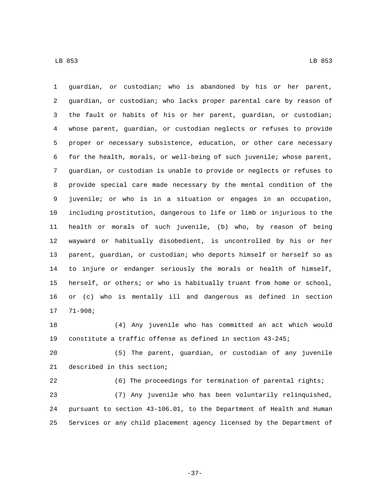guardian, or custodian; who is abandoned by his or her parent, guardian, or custodian; who lacks proper parental care by reason of the fault or habits of his or her parent, guardian, or custodian; whose parent, guardian, or custodian neglects or refuses to provide proper or necessary subsistence, education, or other care necessary for the health, morals, or well-being of such juvenile; whose parent, guardian, or custodian is unable to provide or neglects or refuses to provide special care made necessary by the mental condition of the juvenile; or who is in a situation or engages in an occupation, including prostitution, dangerous to life or limb or injurious to the health or morals of such juvenile, (b) who, by reason of being wayward or habitually disobedient, is uncontrolled by his or her parent, guardian, or custodian; who deports himself or herself so as to injure or endanger seriously the morals or health of himself, herself, or others; or who is habitually truant from home or school, or (c) who is mentally ill and dangerous as defined in section  $1777-908;$ 

 (4) Any juvenile who has committed an act which would constitute a traffic offense as defined in section 43-245;

 (5) The parent, guardian, or custodian of any juvenile 21 described in this section;

 (6) The proceedings for termination of parental rights; (7) Any juvenile who has been voluntarily relinquished, pursuant to section 43-106.01, to the Department of Health and Human Services or any child placement agency licensed by the Department of

-37-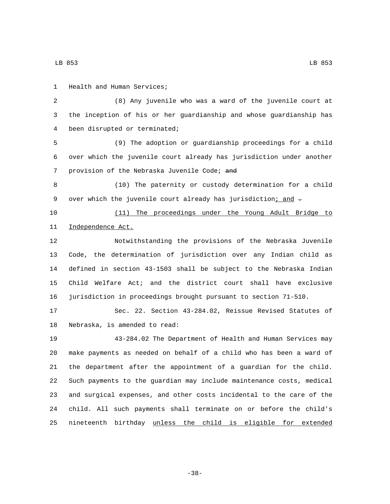LB 853 LB 853

1 Health and Human Services;

 (8) Any juvenile who was a ward of the juvenile court at the inception of his or her guardianship and whose guardianship has 4 been disrupted or terminated;

 (9) The adoption or guardianship proceedings for a child over which the juvenile court already has jurisdiction under another 7 provision of the Nebraska Juvenile Code; and

 (10) The paternity or custody determination for a child 9 over which the juvenile court already has jurisdiction<u>; and</u> -

 (11) The proceedings under the Young Adult Bridge to 11 Independence Act.

 Notwithstanding the provisions of the Nebraska Juvenile Code, the determination of jurisdiction over any Indian child as defined in section 43-1503 shall be subject to the Nebraska Indian Child Welfare Act; and the district court shall have exclusive jurisdiction in proceedings brought pursuant to section 71-510.

 Sec. 22. Section 43-284.02, Reissue Revised Statutes of 18 Nebraska, is amended to read:

 43-284.02 The Department of Health and Human Services may make payments as needed on behalf of a child who has been a ward of the department after the appointment of a guardian for the child. Such payments to the guardian may include maintenance costs, medical and surgical expenses, and other costs incidental to the care of the child. All such payments shall terminate on or before the child's nineteenth birthday unless the child is eligible for extended

-38-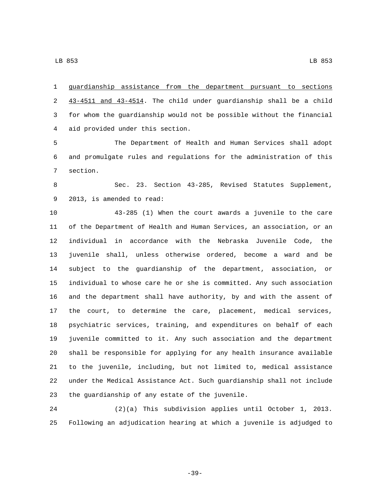guardianship assistance from the department pursuant to sections 43-4511 and 43-4514. The child under guardianship shall be a child for whom the guardianship would not be possible without the financial aid provided under this section.4

 The Department of Health and Human Services shall adopt and promulgate rules and regulations for the administration of this 7 section.

 Sec. 23. Section 43-285, Revised Statutes Supplement, 9 2013, is amended to read:

 43-285 (1) When the court awards a juvenile to the care of the Department of Health and Human Services, an association, or an individual in accordance with the Nebraska Juvenile Code, the juvenile shall, unless otherwise ordered, become a ward and be subject to the guardianship of the department, association, or individual to whose care he or she is committed. Any such association and the department shall have authority, by and with the assent of the court, to determine the care, placement, medical services, psychiatric services, training, and expenditures on behalf of each juvenile committed to it. Any such association and the department shall be responsible for applying for any health insurance available to the juvenile, including, but not limited to, medical assistance under the Medical Assistance Act. Such guardianship shall not include 23 the guardianship of any estate of the juvenile.

 (2)(a) This subdivision applies until October 1, 2013. Following an adjudication hearing at which a juvenile is adjudged to

-39-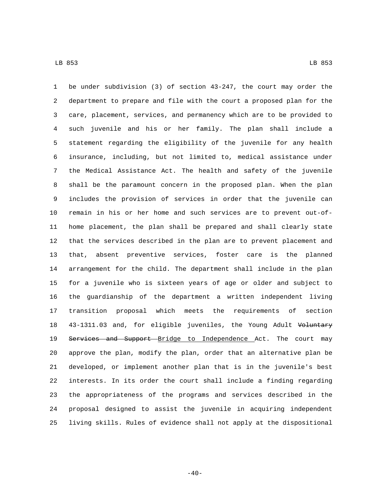be under subdivision (3) of section 43-247, the court may order the department to prepare and file with the court a proposed plan for the care, placement, services, and permanency which are to be provided to such juvenile and his or her family. The plan shall include a statement regarding the eligibility of the juvenile for any health insurance, including, but not limited to, medical assistance under the Medical Assistance Act. The health and safety of the juvenile shall be the paramount concern in the proposed plan. When the plan includes the provision of services in order that the juvenile can remain in his or her home and such services are to prevent out-of- home placement, the plan shall be prepared and shall clearly state that the services described in the plan are to prevent placement and that, absent preventive services, foster care is the planned arrangement for the child. The department shall include in the plan for a juvenile who is sixteen years of age or older and subject to the guardianship of the department a written independent living transition proposal which meets the requirements of section 18 43-1311.03 and, for eligible juveniles, the Young Adult Voluntary 19 Services and Support Bridge to Independence Act. The court may approve the plan, modify the plan, order that an alternative plan be developed, or implement another plan that is in the juvenile's best interests. In its order the court shall include a finding regarding the appropriateness of the programs and services described in the proposal designed to assist the juvenile in acquiring independent living skills. Rules of evidence shall not apply at the dispositional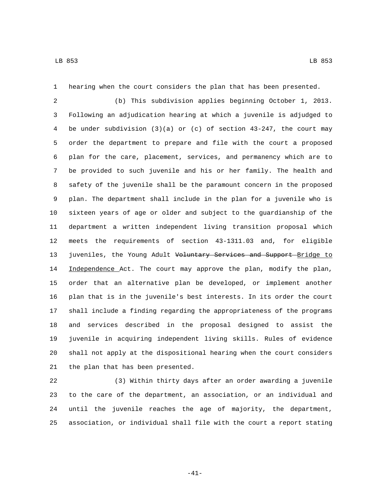hearing when the court considers the plan that has been presented.

 (b) This subdivision applies beginning October 1, 2013. Following an adjudication hearing at which a juvenile is adjudged to be under subdivision (3)(a) or (c) of section 43-247, the court may order the department to prepare and file with the court a proposed plan for the care, placement, services, and permanency which are to be provided to such juvenile and his or her family. The health and safety of the juvenile shall be the paramount concern in the proposed plan. The department shall include in the plan for a juvenile who is sixteen years of age or older and subject to the guardianship of the department a written independent living transition proposal which meets the requirements of section 43-1311.03 and, for eligible 13 juveniles, the Young Adult Voluntary Services and Support Bridge to 14 Independence Act. The court may approve the plan, modify the plan, order that an alternative plan be developed, or implement another plan that is in the juvenile's best interests. In its order the court shall include a finding regarding the appropriateness of the programs and services described in the proposal designed to assist the juvenile in acquiring independent living skills. Rules of evidence shall not apply at the dispositional hearing when the court considers 21 the plan that has been presented.

 (3) Within thirty days after an order awarding a juvenile to the care of the department, an association, or an individual and until the juvenile reaches the age of majority, the department, association, or individual shall file with the court a report stating

-41-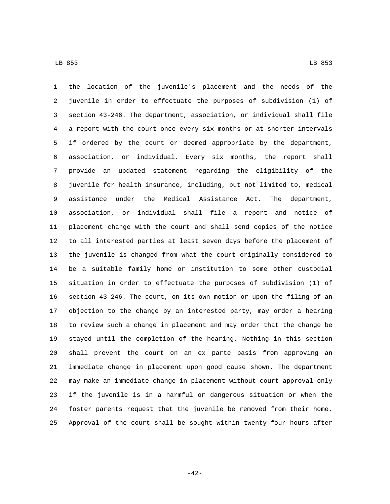the location of the juvenile's placement and the needs of the juvenile in order to effectuate the purposes of subdivision (1) of section 43-246. The department, association, or individual shall file a report with the court once every six months or at shorter intervals if ordered by the court or deemed appropriate by the department, association, or individual. Every six months, the report shall provide an updated statement regarding the eligibility of the juvenile for health insurance, including, but not limited to, medical assistance under the Medical Assistance Act. The department, association, or individual shall file a report and notice of placement change with the court and shall send copies of the notice to all interested parties at least seven days before the placement of the juvenile is changed from what the court originally considered to be a suitable family home or institution to some other custodial situation in order to effectuate the purposes of subdivision (1) of section 43-246. The court, on its own motion or upon the filing of an objection to the change by an interested party, may order a hearing to review such a change in placement and may order that the change be stayed until the completion of the hearing. Nothing in this section shall prevent the court on an ex parte basis from approving an immediate change in placement upon good cause shown. The department may make an immediate change in placement without court approval only if the juvenile is in a harmful or dangerous situation or when the foster parents request that the juvenile be removed from their home. Approval of the court shall be sought within twenty-four hours after

-42-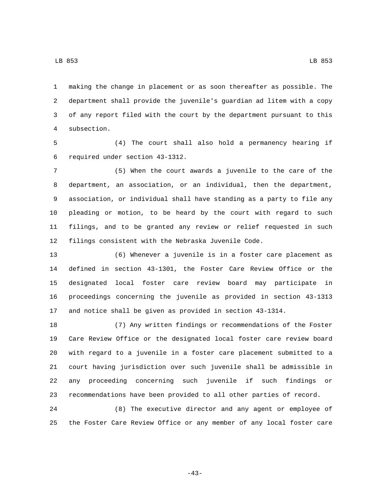making the change in placement or as soon thereafter as possible. The department shall provide the juvenile's guardian ad litem with a copy of any report filed with the court by the department pursuant to this subsection.4

 (4) The court shall also hold a permanency hearing if 6 required under section 43-1312.

 (5) When the court awards a juvenile to the care of the department, an association, or an individual, then the department, association, or individual shall have standing as a party to file any pleading or motion, to be heard by the court with regard to such filings, and to be granted any review or relief requested in such filings consistent with the Nebraska Juvenile Code.

 (6) Whenever a juvenile is in a foster care placement as defined in section 43-1301, the Foster Care Review Office or the designated local foster care review board may participate in proceedings concerning the juvenile as provided in section 43-1313 and notice shall be given as provided in section 43-1314.

 (7) Any written findings or recommendations of the Foster Care Review Office or the designated local foster care review board with regard to a juvenile in a foster care placement submitted to a court having jurisdiction over such juvenile shall be admissible in any proceeding concerning such juvenile if such findings or recommendations have been provided to all other parties of record.

 (8) The executive director and any agent or employee of the Foster Care Review Office or any member of any local foster care

-43-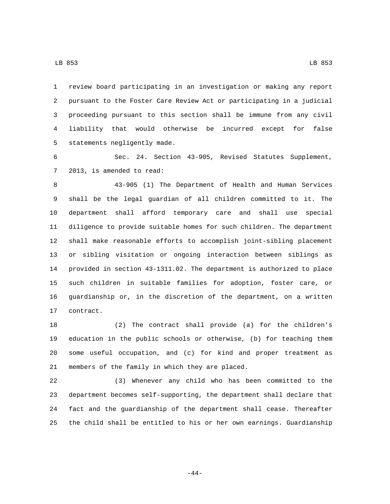review board participating in an investigation or making any report pursuant to the Foster Care Review Act or participating in a judicial proceeding pursuant to this section shall be immune from any civil liability that would otherwise be incurred except for false 5 statements negligently made.

 Sec. 24. Section 43-905, Revised Statutes Supplement, 7 2013, is amended to read:

 43-905 (1) The Department of Health and Human Services shall be the legal guardian of all children committed to it. The department shall afford temporary care and shall use special diligence to provide suitable homes for such children. The department shall make reasonable efforts to accomplish joint-sibling placement or sibling visitation or ongoing interaction between siblings as provided in section 43-1311.02. The department is authorized to place such children in suitable families for adoption, foster care, or guardianship or, in the discretion of the department, on a written 17 contract.

 (2) The contract shall provide (a) for the children's education in the public schools or otherwise, (b) for teaching them some useful occupation, and (c) for kind and proper treatment as 21 members of the family in which they are placed.

 (3) Whenever any child who has been committed to the department becomes self-supporting, the department shall declare that fact and the guardianship of the department shall cease. Thereafter the child shall be entitled to his or her own earnings. Guardianship

-44-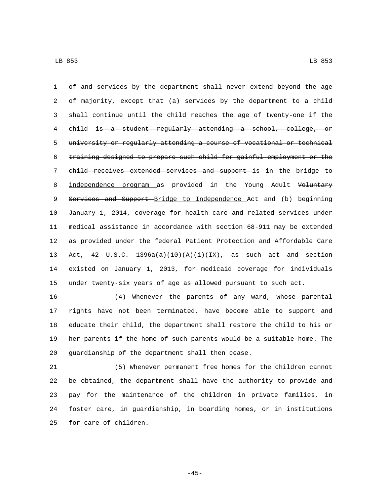of and services by the department shall never extend beyond the age of majority, except that (a) services by the department to a child shall continue until the child reaches the age of twenty-one if the child is a student regularly attending a school, college, or university or regularly attending a course of vocational or technical training designed to prepare such child for gainful employment or the 7 child receives extended services and support is in the bridge to 8 independence program as provided in the Young Adult Voluntary 9 Services and Support Bridge to Independence Act and (b) beginning January 1, 2014, coverage for health care and related services under medical assistance in accordance with section 68-911 may be extended as provided under the federal Patient Protection and Affordable Care Act, 42 U.S.C. 1396a(a)(10)(A)(i)(IX), as such act and section existed on January 1, 2013, for medicaid coverage for individuals under twenty-six years of age as allowed pursuant to such act.

 (4) Whenever the parents of any ward, whose parental rights have not been terminated, have become able to support and educate their child, the department shall restore the child to his or her parents if the home of such parents would be a suitable home. The 20 guardianship of the department shall then cease.

 (5) Whenever permanent free homes for the children cannot be obtained, the department shall have the authority to provide and pay for the maintenance of the children in private families, in foster care, in guardianship, in boarding homes, or in institutions 25 for care of children.

-45-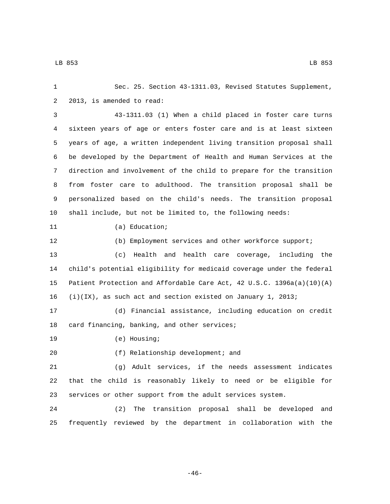Sec. 25. Section 43-1311.03, Revised Statutes Supplement, 2 2013, is amended to read: 43-1311.03 (1) When a child placed in foster care turns sixteen years of age or enters foster care and is at least sixteen years of age, a written independent living transition proposal shall be developed by the Department of Health and Human Services at the direction and involvement of the child to prepare for the transition from foster care to adulthood. The transition proposal shall be personalized based on the child's needs. The transition proposal shall include, but not be limited to, the following needs: 11 (a) Education; (b) Employment services and other workforce support; (c) Health and health care coverage, including the child's potential eligibility for medicaid coverage under the federal Patient Protection and Affordable Care Act, 42 U.S.C. 1396a(a)(10)(A) (i)(IX), as such act and section existed on January 1, 2013; (d) Financial assistance, including education on credit 18 card financing, banking, and other services; 19 (e) Housing; 20 (f) Relationship development; and (g) Adult services, if the needs assessment indicates that the child is reasonably likely to need or be eligible for services or other support from the adult services system. (2) The transition proposal shall be developed and frequently reviewed by the department in collaboration with the

-46-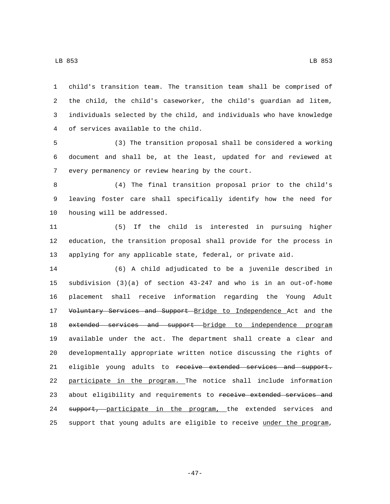child's transition team. The transition team shall be comprised of the child, the child's caseworker, the child's guardian ad litem, individuals selected by the child, and individuals who have knowledge of services available to the child.4

 (3) The transition proposal shall be considered a working document and shall be, at the least, updated for and reviewed at 7 every permanency or review hearing by the court.

 (4) The final transition proposal prior to the child's leaving foster care shall specifically identify how the need for 10 housing will be addressed.

 (5) If the child is interested in pursuing higher education, the transition proposal shall provide for the process in applying for any applicable state, federal, or private aid.

 (6) A child adjudicated to be a juvenile described in subdivision (3)(a) of section 43-247 and who is in an out-of-home placement shall receive information regarding the Young Adult 17 Voluntary Services and Support Bridge to Independence Act and the 18 extended services and support bridge to independence program available under the act. The department shall create a clear and developmentally appropriate written notice discussing the rights of 21 eligible young adults to receive extended services and support. participate in the program. The notice shall include information 23 about eligibility and requirements to receive extended services and 24 support, participate in the program, the extended services and support that young adults are eligible to receive under the program,

-47-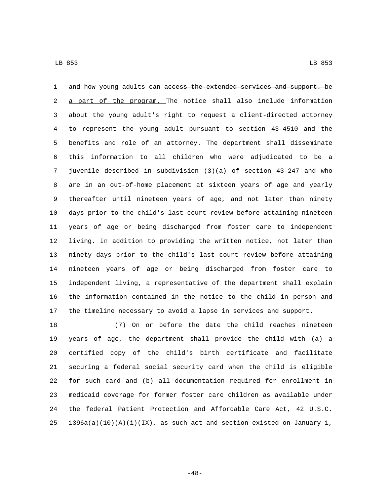1 and how young adults can access the extended services and support. be 2 a part of the program. The notice shall also include information about the young adult's right to request a client-directed attorney to represent the young adult pursuant to section 43-4510 and the benefits and role of an attorney. The department shall disseminate this information to all children who were adjudicated to be a juvenile described in subdivision (3)(a) of section 43-247 and who are in an out-of-home placement at sixteen years of age and yearly thereafter until nineteen years of age, and not later than ninety days prior to the child's last court review before attaining nineteen years of age or being discharged from foster care to independent living. In addition to providing the written notice, not later than ninety days prior to the child's last court review before attaining nineteen years of age or being discharged from foster care to independent living, a representative of the department shall explain the information contained in the notice to the child in person and the timeline necessary to avoid a lapse in services and support.

 (7) On or before the date the child reaches nineteen years of age, the department shall provide the child with (a) a certified copy of the child's birth certificate and facilitate securing a federal social security card when the child is eligible for such card and (b) all documentation required for enrollment in medicaid coverage for former foster care children as available under the federal Patient Protection and Affordable Care Act, 42 U.S.C. 25 1396a(a)(10)(A)(i)(IX), as such act and section existed on January 1,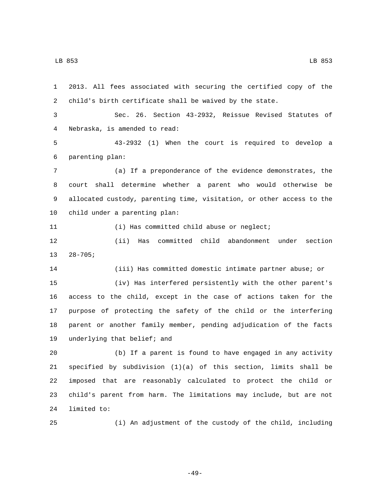2013. All fees associated with securing the certified copy of the child's birth certificate shall be waived by the state. Sec. 26. Section 43-2932, Reissue Revised Statutes of Nebraska, is amended to read:4 43-2932 (1) When the court is required to develop a parenting plan:6 (a) If a preponderance of the evidence demonstrates, the court shall determine whether a parent who would otherwise be allocated custody, parenting time, visitation, or other access to the 10 child under a parenting plan: 11 (i) Has committed child abuse or neglect; (ii) Has committed child abandonment under section  $28-705;$  (iii) Has committed domestic intimate partner abuse; or (iv) Has interfered persistently with the other parent's access to the child, except in the case of actions taken for the purpose of protecting the safety of the child or the interfering parent or another family member, pending adjudication of the facts 19 underlying that belief; and (b) If a parent is found to have engaged in any activity specified by subdivision (1)(a) of this section, limits shall be imposed that are reasonably calculated to protect the child or child's parent from harm. The limitations may include, but are not 24 limited to:

(i) An adjustment of the custody of the child, including

-49-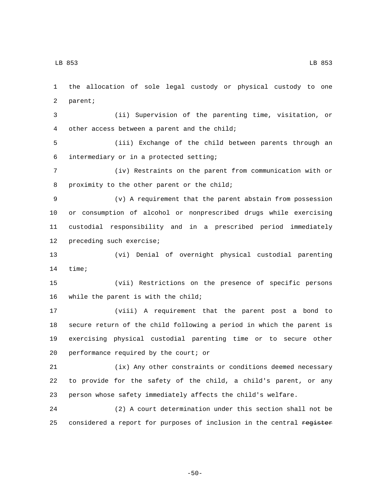1 the allocation of sole legal custody or physical custody to one 2 parent;

3 (ii) Supervision of the parenting time, visitation, or 4 other access between a parent and the child;

5 (iii) Exchange of the child between parents through an intermediary or in a protected setting;6

7 (iv) Restraints on the parent from communication with or 8 proximity to the other parent or the child;

 (v) A requirement that the parent abstain from possession or consumption of alcohol or nonprescribed drugs while exercising custodial responsibility and in a prescribed period immediately 12 preceding such exercise;

13 (vi) Denial of overnight physical custodial parenting 14 time;

15 (vii) Restrictions on the presence of specific persons 16 while the parent is with the child;

 (viii) A requirement that the parent post a bond to secure return of the child following a period in which the parent is exercising physical custodial parenting time or to secure other 20 performance required by the court; or

21 (ix) Any other constraints or conditions deemed necessary 22 to provide for the safety of the child, a child's parent, or any 23 person whose safety immediately affects the child's welfare.

24 (2) A court determination under this section shall not be 25 considered a report for purposes of inclusion in the central register

-50-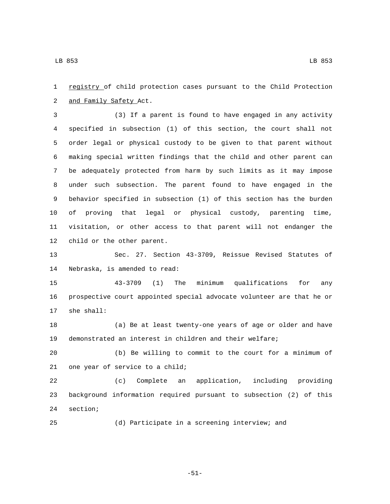registry of child protection cases pursuant to the Child Protection 2 and Family Safety Act.

 (3) If a parent is found to have engaged in any activity specified in subsection (1) of this section, the court shall not order legal or physical custody to be given to that parent without making special written findings that the child and other parent can be adequately protected from harm by such limits as it may impose under such subsection. The parent found to have engaged in the behavior specified in subsection (1) of this section has the burden of proving that legal or physical custody, parenting time, visitation, or other access to that parent will not endanger the 12 child or the other parent.

 Sec. 27. Section 43-3709, Reissue Revised Statutes of 14 Nebraska, is amended to read:

 43-3709 (1) The minimum qualifications for any prospective court appointed special advocate volunteer are that he or 17 she shall:

 (a) Be at least twenty-one years of age or older and have demonstrated an interest in children and their welfare;

 (b) Be willing to commit to the court for a minimum of 21 one year of service to a child;

 (c) Complete an application, including providing background information required pursuant to subsection (2) of this 24 section;

(d) Participate in a screening interview; and

-51-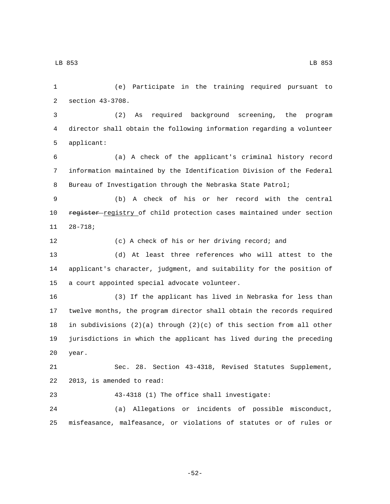LB 853 LB 853

2 section 43-3708. (2) As required background screening, the program director shall obtain the following information regarding a volunteer 5 applicant: (a) A check of the applicant's criminal history record information maintained by the Identification Division of the Federal Bureau of Investigation through the Nebraska State Patrol; (b) A check of his or her record with the central 10 register registry of child protection cases maintained under section  $11 28 - 718;$  (c) A check of his or her driving record; and (d) At least three references who will attest to the applicant's character, judgment, and suitability for the position of 15 a court appointed special advocate volunteer. (3) If the applicant has lived in Nebraska for less than twelve months, the program director shall obtain the records required in subdivisions (2)(a) through (2)(c) of this section from all other jurisdictions in which the applicant has lived during the preceding 20 year. Sec. 28. Section 43-4318, Revised Statutes Supplement, 22 2013, is amended to read: 43-4318 (1) The office shall investigate: (a) Allegations or incidents of possible misconduct, misfeasance, malfeasance, or violations of statutes or of rules or

(e) Participate in the training required pursuant to

-52-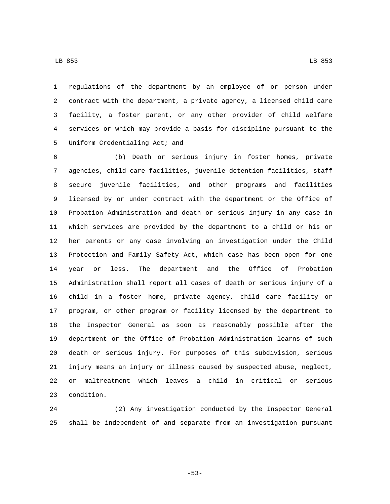regulations of the department by an employee of or person under contract with the department, a private agency, a licensed child care facility, a foster parent, or any other provider of child welfare services or which may provide a basis for discipline pursuant to the 5 Uniform Credentialing Act; and

 (b) Death or serious injury in foster homes, private agencies, child care facilities, juvenile detention facilities, staff secure juvenile facilities, and other programs and facilities licensed by or under contract with the department or the Office of Probation Administration and death or serious injury in any case in which services are provided by the department to a child or his or her parents or any case involving an investigation under the Child 13 Protection and Family Safety Act, which case has been open for one year or less. The department and the Office of Probation Administration shall report all cases of death or serious injury of a child in a foster home, private agency, child care facility or program, or other program or facility licensed by the department to the Inspector General as soon as reasonably possible after the department or the Office of Probation Administration learns of such death or serious injury. For purposes of this subdivision, serious injury means an injury or illness caused by suspected abuse, neglect, or maltreatment which leaves a child in critical or serious 23 condition.

 (2) Any investigation conducted by the Inspector General shall be independent of and separate from an investigation pursuant

-53-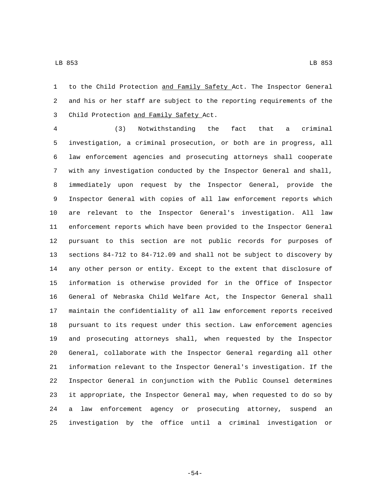to the Child Protection and Family Safety Act. The Inspector General and his or her staff are subject to the reporting requirements of the 3 Child Protection and Family Safety Act.

 (3) Notwithstanding the fact that a criminal investigation, a criminal prosecution, or both are in progress, all law enforcement agencies and prosecuting attorneys shall cooperate with any investigation conducted by the Inspector General and shall, immediately upon request by the Inspector General, provide the Inspector General with copies of all law enforcement reports which are relevant to the Inspector General's investigation. All law enforcement reports which have been provided to the Inspector General pursuant to this section are not public records for purposes of sections 84-712 to 84-712.09 and shall not be subject to discovery by any other person or entity. Except to the extent that disclosure of information is otherwise provided for in the Office of Inspector General of Nebraska Child Welfare Act, the Inspector General shall maintain the confidentiality of all law enforcement reports received pursuant to its request under this section. Law enforcement agencies and prosecuting attorneys shall, when requested by the Inspector General, collaborate with the Inspector General regarding all other information relevant to the Inspector General's investigation. If the Inspector General in conjunction with the Public Counsel determines it appropriate, the Inspector General may, when requested to do so by a law enforcement agency or prosecuting attorney, suspend an investigation by the office until a criminal investigation or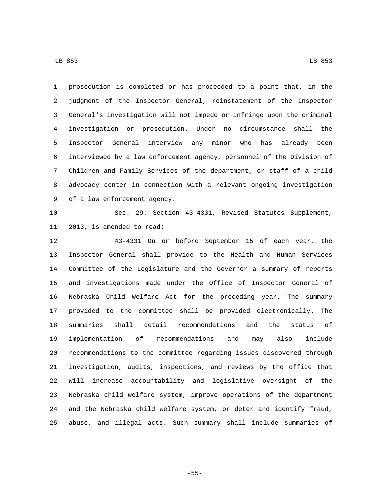prosecution is completed or has proceeded to a point that, in the judgment of the Inspector General, reinstatement of the Inspector General's investigation will not impede or infringe upon the criminal investigation or prosecution. Under no circumstance shall the Inspector General interview any minor who has already been interviewed by a law enforcement agency, personnel of the Division of Children and Family Services of the department, or staff of a child advocacy center in connection with a relevant ongoing investigation 9 of a law enforcement agency.

 Sec. 29. Section 43-4331, Revised Statutes Supplement, 11 2013, is amended to read:

 43-4331 On or before September 15 of each year, the Inspector General shall provide to the Health and Human Services Committee of the Legislature and the Governor a summary of reports and investigations made under the Office of Inspector General of Nebraska Child Welfare Act for the preceding year. The summary provided to the committee shall be provided electronically. The summaries shall detail recommendations and the status of implementation of recommendations and may also include recommendations to the committee regarding issues discovered through investigation, audits, inspections, and reviews by the office that will increase accountability and legislative oversight of the Nebraska child welfare system, improve operations of the department and the Nebraska child welfare system, or deter and identify fraud, abuse, and illegal acts. Such summary shall include summaries of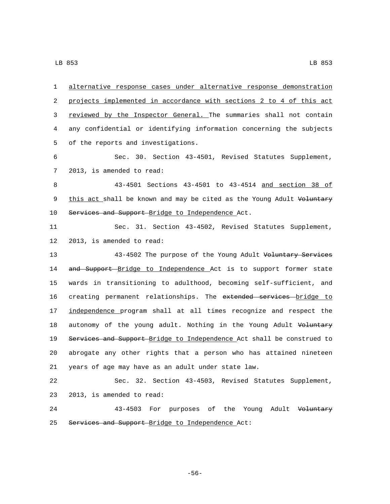1 alternative response cases under alternative response demonstration 2 projects implemented in accordance with sections 2 to 4 of this act 3 reviewed by the Inspector General. The summaries shall not contain 4 any confidential or identifying information concerning the subjects 5 of the reports and investigations. 6 Sec. 30. Section 43-4501, Revised Statutes Supplement, 7 2013, is amended to read: 8 43-4501 Sections 43-4501 to 43-4514 and section 38 of 9 this act shall be known and may be cited as the Young Adult Voluntary 10 Services and Support Bridge to Independence Act. 11 Sec. 31. Section 43-4502, Revised Statutes Supplement, 12 2013, is amended to read: 13 43-4502 The purpose of the Young Adult Voluntary Services 14 and Support Bridge to Independence Act is to support former state 15 wards in transitioning to adulthood, becoming self-sufficient, and 16 creating permanent relationships. The extended services bridge to 17 independence program shall at all times recognize and respect the 18 autonomy of the young adult. Nothing in the Young Adult Voluntary 19 Services and Support Bridge to Independence Act shall be construed to 20 abrogate any other rights that a person who has attained nineteen 21 years of age may have as an adult under state law. 22 Sec. 32. Section 43-4503, Revised Statutes Supplement, 23 2013, is amended to read: 24 43-4503 For purposes of the Young Adult Voluntary 25 Services and Support Bridge to Independence Act: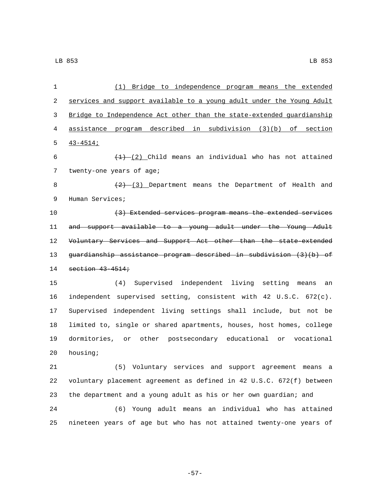| $\mathbf{1}$ | (1) Bridge to independence program means the extended                 |
|--------------|-----------------------------------------------------------------------|
| 2            | services and support available to a young adult under the Young Adult |
| 3            | Bridge to Independence Act other than the state-extended guardianship |
| 4            | assistance program described in subdivision (3)(b) of section         |
| 5            | $43 - 4514;$                                                          |
| 6            | $(1)$ (2) Child means an individual who has not attained              |
| 7            | twenty-one years of age;                                              |
| 8            | $(2)$ (3) Department means the Department of Health and               |
| 9            | Human Services;                                                       |
| 10           | (3) Extended services program means the extended services             |
| 11           | and support available to a young adult under the Young Adult          |
| 12           | Voluntary Services and Support Act other than the state-extended      |
| 13           | guardianship assistance program described in subdivision (3)(b) of    |
| 14           | section $43-4514$ ;                                                   |
| 15           | (4) Supervised independent living setting means<br>an                 |
| 16           | independent supervised setting, consistent with 42 U.S.C. 672(c).     |
| 17           | Supervised independent living settings shall include, but not be      |
| 18           | limited to, single or shared apartments, houses, host homes, college  |
| 19           | dormitories, or other postsecondary educational or vocational         |
| 20           | housing;                                                              |
| 21           | (5) Voluntary services and support agreement means a                  |
| 22           | voluntary placement agreement as defined in 42 U.S.C. 672(f) between  |
| 23           | the department and a young adult as his or her own guardian; and      |
| 24           | Young adult means an individual who has attained<br>(6)               |
| 25           | nineteen years of age but who has not attained twenty-one years of    |

-57-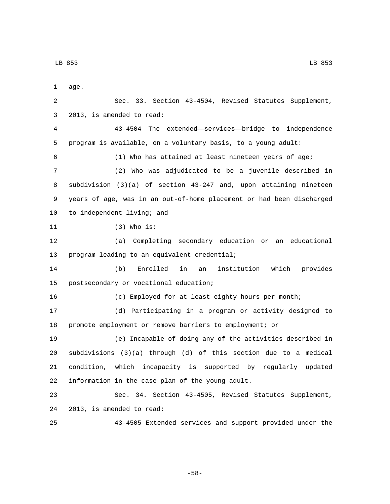LB 853 LB 853

1 age. Sec. 33. Section 43-4504, Revised Statutes Supplement, 3 2013, is amended to read: 43-4504 The extended services bridge to independence program is available, on a voluntary basis, to a young adult: (1) Who has attained at least nineteen years of age; (2) Who was adjudicated to be a juvenile described in subdivision (3)(a) of section 43-247 and, upon attaining nineteen years of age, was in an out-of-home placement or had been discharged 10 to independent living; and (3) Who is:11 (a) Completing secondary education or an educational 13 program leading to an equivalent credential; (b) Enrolled in an institution which provides 15 postsecondary or vocational education; (c) Employed for at least eighty hours per month; (d) Participating in a program or activity designed to promote employment or remove barriers to employment; or (e) Incapable of doing any of the activities described in subdivisions (3)(a) through (d) of this section due to a medical condition, which incapacity is supported by regularly updated 22 information in the case plan of the young adult. Sec. 34. Section 43-4505, Revised Statutes Supplement, 24 2013, is amended to read: 43-4505 Extended services and support provided under the

-58-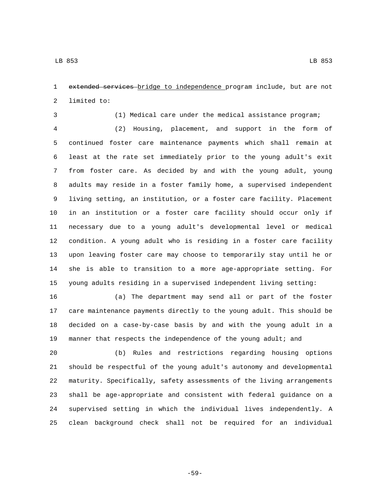extended services bridge to independence program include, but are not 2 limited to:

(1) Medical care under the medical assistance program;

 (2) Housing, placement, and support in the form of continued foster care maintenance payments which shall remain at least at the rate set immediately prior to the young adult's exit from foster care. As decided by and with the young adult, young adults may reside in a foster family home, a supervised independent living setting, an institution, or a foster care facility. Placement in an institution or a foster care facility should occur only if necessary due to a young adult's developmental level or medical condition. A young adult who is residing in a foster care facility upon leaving foster care may choose to temporarily stay until he or she is able to transition to a more age-appropriate setting. For young adults residing in a supervised independent living setting:

 (a) The department may send all or part of the foster care maintenance payments directly to the young adult. This should be decided on a case-by-case basis by and with the young adult in a manner that respects the independence of the young adult; and

 (b) Rules and restrictions regarding housing options should be respectful of the young adult's autonomy and developmental maturity. Specifically, safety assessments of the living arrangements shall be age-appropriate and consistent with federal guidance on a supervised setting in which the individual lives independently. A clean background check shall not be required for an individual

-59-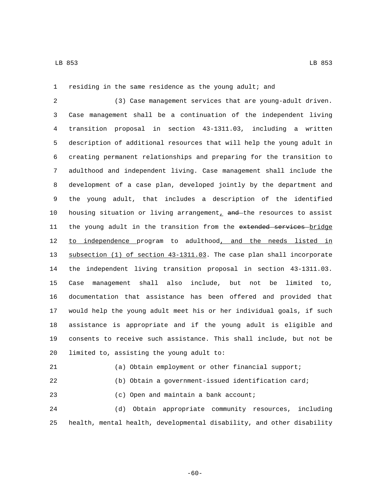residing in the same residence as the young adult; and

 (3) Case management services that are young-adult driven. Case management shall be a continuation of the independent living transition proposal in section 43-1311.03, including a written description of additional resources that will help the young adult in creating permanent relationships and preparing for the transition to adulthood and independent living. Case management shall include the development of a case plan, developed jointly by the department and the young adult, that includes a description of the identified 10 housing situation or living arrangement,  $and$  the resources to assist 11 the young adult in the transition from the extended services bridge 12 to independence program to adulthood, and the needs listed in subsection (1) of section 43-1311.03. The case plan shall incorporate the independent living transition proposal in section 43-1311.03. Case management shall also include, but not be limited to, documentation that assistance has been offered and provided that would help the young adult meet his or her individual goals, if such assistance is appropriate and if the young adult is eligible and consents to receive such assistance. This shall include, but not be 20 limited to, assisting the young adult to:

 (a) Obtain employment or other financial support; (b) Obtain a government-issued identification card;

(c) Open and maintain a bank account;

 (d) Obtain appropriate community resources, including health, mental health, developmental disability, and other disability

-60-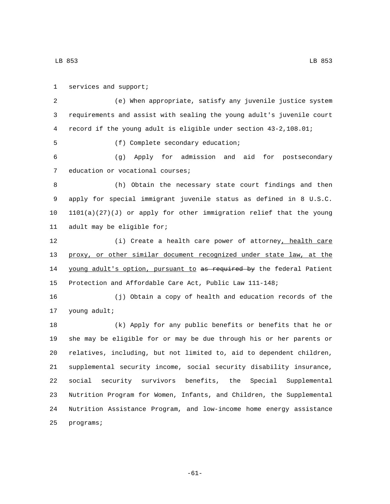LB 853 LB 853

1 services and support; (e) When appropriate, satisfy any juvenile justice system requirements and assist with sealing the young adult's juvenile court record if the young adult is eligible under section 43-2,108.01; (f) Complete secondary education;5 (g) Apply for admission and aid for postsecondary 7 education or vocational courses; (h) Obtain the necessary state court findings and then apply for special immigrant juvenile status as defined in 8 U.S.C. 1101(a)(27)(J) or apply for other immigration relief that the young 11 adult may be eligible for; (i) Create a health care power of attorney, health care proxy, or other similar document recognized under state law, at the 14 young adult's option, pursuant to as required by the federal Patient Protection and Affordable Care Act, Public Law 111-148; (j) Obtain a copy of health and education records of the 17 young adult; (k) Apply for any public benefits or benefits that he or she may be eligible for or may be due through his or her parents or relatives, including, but not limited to, aid to dependent children, supplemental security income, social security disability insurance, social security survivors benefits, the Special Supplemental Nutrition Program for Women, Infants, and Children, the Supplemental Nutrition Assistance Program, and low-income home energy assistance 25 programs;

-61-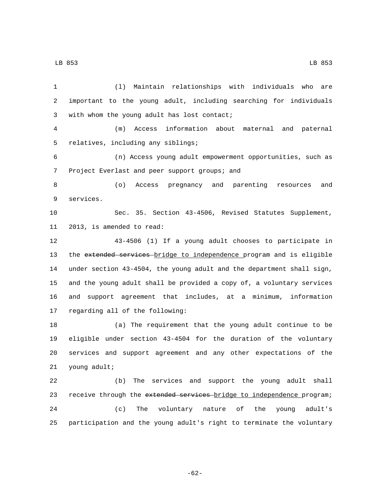LB 853 LB 853

 (l) Maintain relationships with individuals who are important to the young adult, including searching for individuals 3 with whom the young adult has lost contact; (m) Access information about maternal and paternal 5 relatives, including any siblings; (n) Access young adult empowerment opportunities, such as Project Everlast and peer support groups; and (o) Access pregnancy and parenting resources and 9 services. Sec. 35. Section 43-4506, Revised Statutes Supplement, 11 2013, is amended to read: 43-4506 (1) If a young adult chooses to participate in 13 the extended services bridge to independence program and is eligible under section 43-4504, the young adult and the department shall sign, and the young adult shall be provided a copy of, a voluntary services and support agreement that includes, at a minimum, information 17 regarding all of the following: (a) The requirement that the young adult continue to be eligible under section 43-4504 for the duration of the voluntary services and support agreement and any other expectations of the 21 young adult; (b) The services and support the young adult shall 23 receive through the extended services-bridge to independence program; (c) The voluntary nature of the young adult's participation and the young adult's right to terminate the voluntary

-62-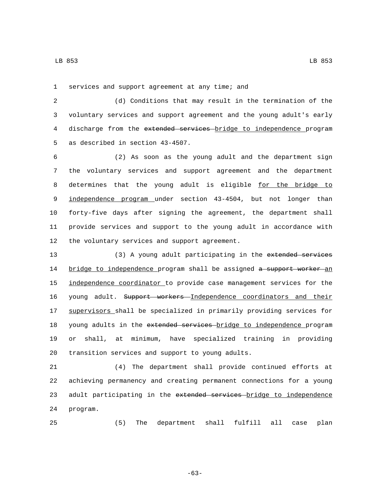1 services and support agreement at any time; and

2 (d) Conditions that may result in the termination of the 3 voluntary services and support agreement and the young adult's early 4 discharge from the extended services bridge to independence program 5 as described in section 43-4507.

6 (2) As soon as the young adult and the department sign 7 the voluntary services and support agreement and the department 8 determines that the young adult is eligible for the bridge to 9 independence program under section 43-4504, but not longer than 10 forty-five days after signing the agreement, the department shall 11 provide services and support to the young adult in accordance with 12 the voluntary services and support agreement.

13 (3) A young adult participating in the extended services 14 bridge to independence program shall be assigned a support worker an 15 independence coordinator to provide case management services for the 16 young adult. Support workers Independence coordinators and their 17 supervisors shall be specialized in primarily providing services for 18 young adults in the extended services bridge to independence program 19 or shall, at minimum, have specialized training in providing 20 transition services and support to young adults.

21 (4) The department shall provide continued efforts at 22 achieving permanency and creating permanent connections for a young 23 adult participating in the extended services bridge to independence 24 program.

25 (5) The department shall fulfill all case plan

-63-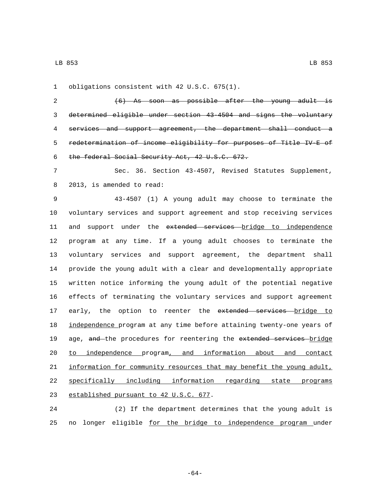1 obligations consistent with 42 U.S.C. 675(1).

 (6) As soon as possible after the young adult is determined eligible under section 43-4504 and signs the voluntary services and support agreement, the department shall conduct a redetermination of income eligibility for purposes of Title IV-E of 6 the federal Social Security Act, 42 U.S.C. 672.

 Sec. 36. Section 43-4507, Revised Statutes Supplement, 8 2013, is amended to read:

 43-4507 (1) A young adult may choose to terminate the voluntary services and support agreement and stop receiving services 11 and support under the extended services bridge to independence program at any time. If a young adult chooses to terminate the voluntary services and support agreement, the department shall provide the young adult with a clear and developmentally appropriate written notice informing the young adult of the potential negative effects of terminating the voluntary services and support agreement 17 early, the option to reenter the extended services bridge to independence program at any time before attaining twenty-one years of 19 age, and the procedures for reentering the extended services bridge to independence program, and information about and contact information for community resources that may benefit the young adult, specifically including information regarding state programs 23 established pursuant to 42 U.S.C. 677.

 (2) If the department determines that the young adult is no longer eligible for the bridge to independence program under

-64-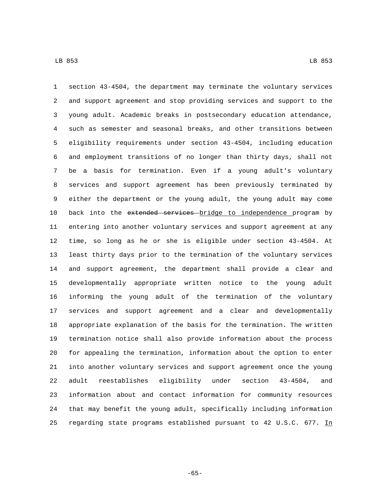section 43-4504, the department may terminate the voluntary services and support agreement and stop providing services and support to the young adult. Academic breaks in postsecondary education attendance, such as semester and seasonal breaks, and other transitions between eligibility requirements under section 43-4504, including education and employment transitions of no longer than thirty days, shall not be a basis for termination. Even if a young adult's voluntary services and support agreement has been previously terminated by either the department or the young adult, the young adult may come 10 back into the extended services bridge to independence program by entering into another voluntary services and support agreement at any time, so long as he or she is eligible under section 43-4504. At least thirty days prior to the termination of the voluntary services and support agreement, the department shall provide a clear and developmentally appropriate written notice to the young adult informing the young adult of the termination of the voluntary services and support agreement and a clear and developmentally appropriate explanation of the basis for the termination. The written termination notice shall also provide information about the process for appealing the termination, information about the option to enter into another voluntary services and support agreement once the young adult reestablishes eligibility under section 43-4504, and information about and contact information for community resources that may benefit the young adult, specifically including information regarding state programs established pursuant to 42 U.S.C. 677. In

-65-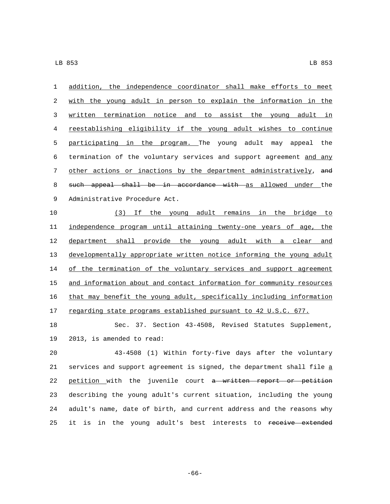addition, the independence coordinator shall make efforts to meet with the young adult in person to explain the information in the written termination notice and to assist the young adult in reestablishing eligibility if the young adult wishes to continue participating in the program. The young adult may appeal the termination of the voluntary services and support agreement and any 7 other actions or inactions by the department administratively, and 8 such appeal shall be in accordance with as allowed under the 9 Administrative Procedure Act.

 (3) If the young adult remains in the bridge to independence program until attaining twenty-one years of age, the department shall provide the young adult with a clear and developmentally appropriate written notice informing the young adult 14 of the termination of the voluntary services and support agreement and information about and contact information for community resources that may benefit the young adult, specifically including information 17 regarding state programs established pursuant to 42 U.S.C. 677.

 Sec. 37. Section 43-4508, Revised Statutes Supplement, 19 2013, is amended to read:

 43-4508 (1) Within forty-five days after the voluntary services and support agreement is signed, the department shall file a 22 petition with the juvenile court a written report or petition describing the young adult's current situation, including the young adult's name, date of birth, and current address and the reasons why 25 it is in the young adult's best interests to receive extended

-66-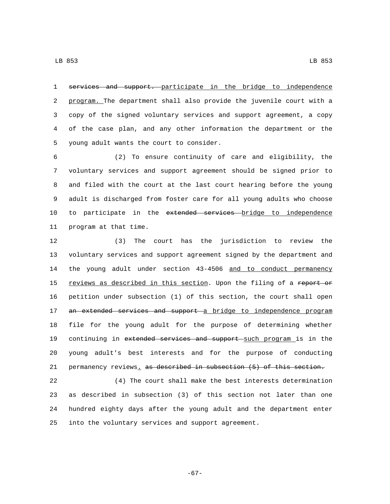services and support. participate in the bridge to independence 2 program. The department shall also provide the juvenile court with a copy of the signed voluntary services and support agreement, a copy of the case plan, and any other information the department or the 5 young adult wants the court to consider.

 (2) To ensure continuity of care and eligibility, the voluntary services and support agreement should be signed prior to and filed with the court at the last court hearing before the young adult is discharged from foster care for all young adults who choose 10 to participate in the extended services bridge to independence 11 program at that time.

 (3) The court has the jurisdiction to review the voluntary services and support agreement signed by the department and 14 the young adult under section 43-4506 and to conduct permanency 15 reviews as described in this section. Upon the filing of a report or petition under subsection (1) of this section, the court shall open 17 an extended services and support a bridge to independence program file for the young adult for the purpose of determining whether 19 continuing in extended services and support such program is in the young adult's best interests and for the purpose of conducting permanency reviews. as described in subsection (5) of this section.

 (4) The court shall make the best interests determination as described in subsection (3) of this section not later than one hundred eighty days after the young adult and the department enter into the voluntary services and support agreement.

-67-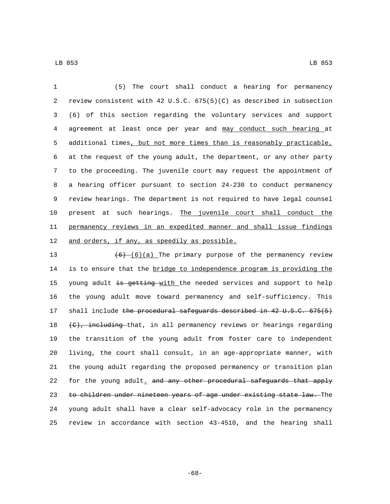(5) The court shall conduct a hearing for permanency review consistent with 42 U.S.C. 675(5)(C) as described in subsection (6) of this section regarding the voluntary services and support agreement at least once per year and may conduct such hearing at additional times, but not more times than is reasonably practicable, at the request of the young adult, the department, or any other party to the proceeding. The juvenile court may request the appointment of a hearing officer pursuant to section 24-230 to conduct permanency review hearings. The department is not required to have legal counsel present at such hearings. The juvenile court shall conduct the permanency reviews in an expedited manner and shall issue findings 12 and orders, if any, as speedily as possible.

 $(6)$   $(6)(a)$  The primary purpose of the permanency review 14 is to ensure that the bridge to independence program is providing the 15 young adult is getting with the needed services and support to help the young adult move toward permanency and self-sufficiency. This 17 shall include the procedural safeguards described in 42 U.S.C. 675(5)  $(e)$ , including that, in all permanency reviews or hearings regarding the transition of the young adult from foster care to independent living, the court shall consult, in an age-appropriate manner, with the young adult regarding the proposed permanency or transition plan 22 for the young adult, and any other procedural safeguards that apply 23 to children under nineteen years of age under existing state law. The young adult shall have a clear self-advocacy role in the permanency review in accordance with section 43-4510, and the hearing shall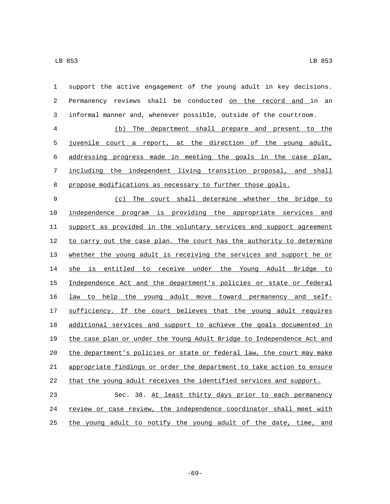| $\mathbf{1}$   | support the active engagement of the young adult in key decisions.    |
|----------------|-----------------------------------------------------------------------|
| $\overline{c}$ | Permanency reviews shall be conducted on the record and in an         |
| $\mathbf{3}$   | informal manner and, whenever possible, outside of the courtroom.     |
| $\,4$          | (b) The department shall prepare and present to the                   |
| 5              | juvenile court a report, at the direction of the young adult,         |
| 6              | addressing progress made in meeting the goals in the case plan,       |
| 7              | including the independent living transition proposal, and shall       |
| $\,8\,$        | propose modifications as necessary to further those goals.            |
| 9              | (c) The court shall determine whether the bridge to                   |
| 10             | independence program is providing the appropriate services and        |
| 11             | support as provided in the voluntary services and support agreement   |
| 12             | to carry out the case plan. The court has the authority to determine  |
| 13             | whether the young adult is receiving the services and support he or   |
| 14             | is entitled to receive under the Young Adult Bridge to<br>she         |
| 15             | Independence Act and the department's policies or state or federal    |
| 16             | law to help the young adult move toward permanency and self-          |
| 17             | sufficiency. If the court believes that the young adult requires      |
| 18             | additional services and support to achieve the goals documented in    |
| 19             | the case plan or under the Young Adult Bridge to Independence Act and |
| 20             | the department's policies or state or federal law, the court may make |
| 21             | appropriate findings or order the department to take action to ensure |
| 22             | that the young adult receives the identified services and support.    |
| 23             | Sec. 38. At least thirty days prior to each permanency                |
| 24             | review or case review, the independence coordinator shall meet with   |
| 25             | the young adult to notify the young adult of the date, time, and      |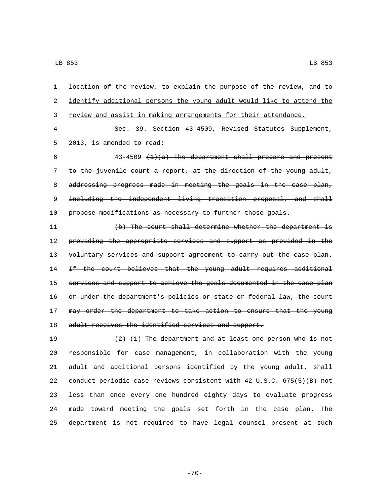1 location of the review, to explain the purpose of the review, and to 2 identify additional persons the young adult would like to attend the 3 review and assist in making arrangements for their attendance. 4 Sec. 39. Section 43-4509, Revised Statutes Supplement, 5 2013, is amended to read: 6  $43-4509$   $(1)(a)$  The department shall prepare and present 7 to the juvenile court a report, at the direction of the young adult, 8 addressing progress made in meeting the goals in the case plan, 9 including the independent living transition proposal, and shall 10 propose modifications as necessary to further those goals. 11 (b) The court shall determine whether the department is

12 providing the appropriate services and support as provided in the 13 voluntary services and support agreement to carry out the case plan. 14 If the court believes that the young adult requires additional 15 services and support to achieve the goals documented in the case plan 16 or under the department's policies or state or federal law, the court 17 may order the department to take action to ensure that the young 18 adult receives the identified services and support.

 $\left(2\right)$  (1) The department and at least one person who is not responsible for case management, in collaboration with the young adult and additional persons identified by the young adult, shall conduct periodic case reviews consistent with 42 U.S.C. 675(5)(B) not less than once every one hundred eighty days to evaluate progress made toward meeting the goals set forth in the case plan. The department is not required to have legal counsel present at such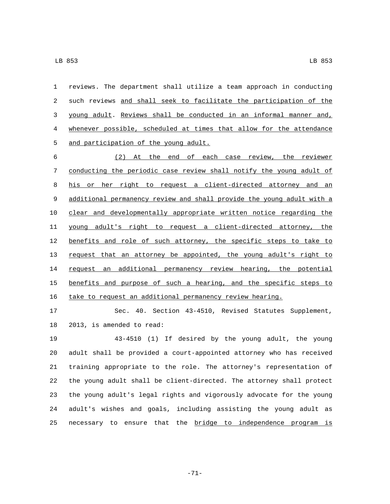reviews. The department shall utilize a team approach in conducting 2 such reviews and shall seek to facilitate the participation of the young adult. Reviews shall be conducted in an informal manner and, whenever possible, scheduled at times that allow for the attendance 5 and participation of the young adult.

 (2) At the end of each case review, the reviewer conducting the periodic case review shall notify the young adult of his or her right to request a client-directed attorney and an additional permanency review and shall provide the young adult with a clear and developmentally appropriate written notice regarding the young adult's right to request a client-directed attorney, the 12 benefits and role of such attorney, the specific steps to take to request that an attorney be appointed, the young adult's right to 14 request an additional permanency review hearing, the potential 15 benefits and purpose of such a hearing, and the specific steps to take to request an additional permanency review hearing.

 Sec. 40. Section 43-4510, Revised Statutes Supplement, 18 2013, is amended to read:

 43-4510 (1) If desired by the young adult, the young adult shall be provided a court-appointed attorney who has received training appropriate to the role. The attorney's representation of the young adult shall be client-directed. The attorney shall protect the young adult's legal rights and vigorously advocate for the young adult's wishes and goals, including assisting the young adult as 25 necessary to ensure that the bridge to independence program is

-71-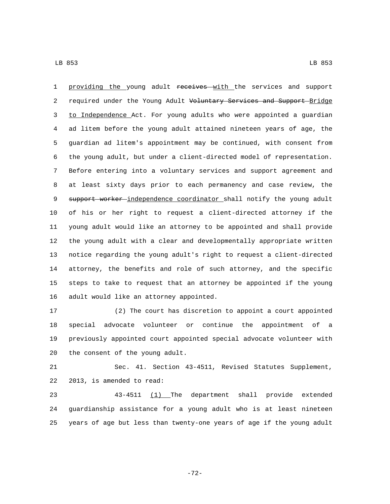LB 853 LB 853

1 providing the young adult receives with the services and support 2 required under the Young Adult Voluntary Services and Support Bridge to Independence Act. For young adults who were appointed a guardian ad litem before the young adult attained nineteen years of age, the guardian ad litem's appointment may be continued, with consent from the young adult, but under a client-directed model of representation. Before entering into a voluntary services and support agreement and at least sixty days prior to each permanency and case review, the 9 support worker independence coordinator shall notify the young adult of his or her right to request a client-directed attorney if the young adult would like an attorney to be appointed and shall provide the young adult with a clear and developmentally appropriate written notice regarding the young adult's right to request a client-directed attorney, the benefits and role of such attorney, and the specific steps to take to request that an attorney be appointed if the young 16 adult would like an attorney appointed.

 (2) The court has discretion to appoint a court appointed special advocate volunteer or continue the appointment of a previously appointed court appointed special advocate volunteer with 20 the consent of the young adult.

 Sec. 41. Section 43-4511, Revised Statutes Supplement, 22 2013, is amended to read:

 43-4511 (1) The department shall provide extended guardianship assistance for a young adult who is at least nineteen years of age but less than twenty-one years of age if the young adult

-72-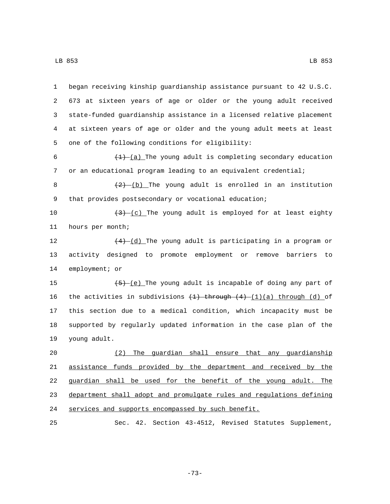began receiving kinship guardianship assistance pursuant to 42 U.S.C. 673 at sixteen years of age or older or the young adult received state-funded guardianship assistance in a licensed relative placement at sixteen years of age or older and the young adult meets at least 5 one of the following conditions for eligibility:  $\left(\frac{1}{1}\right)$  (a) The young adult is completing secondary education or an educational program leading to an equivalent credential;  $\left(\frac{2}{2}\right)$  (b) The young adult is enrolled in an institution 9 that provides postsecondary or vocational education;  $\left(3\right)-\left(c\right)$  The young adult is employed for at least eighty 11 hours per month;  $(4)$   $(d)$  The young adult is participating in a program or activity designed to promote employment or remove barriers to 14 employment; or 15 (5) (e) The young adult is incapable of doing any part of 16 the activities in subdivisions  $(1)$  through  $(4)$   $(1)(a)$  through  $(d)$  of this section due to a medical condition, which incapacity must be supported by regularly updated information in the case plan of the 19 young adult. (2) The guardian shall ensure that any guardianship assistance funds provided by the department and received by the guardian shall be used for the benefit of the young adult. The department shall adopt and promulgate rules and regulations defining services and supports encompassed by such benefit.

25 Sec. 42. Section 43-4512, Revised Statutes Supplement,

-73-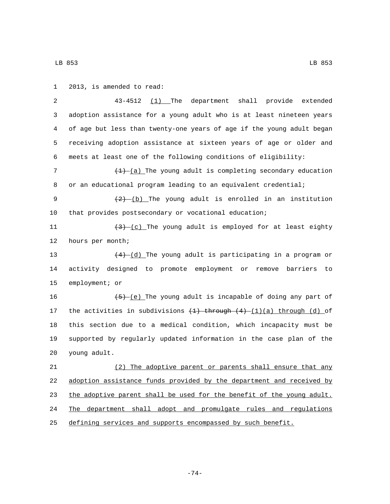1 2013, is amended to read: 43-4512 (1) The department shall provide extended adoption assistance for a young adult who is at least nineteen years of age but less than twenty-one years of age if the young adult began receiving adoption assistance at sixteen years of age or older and meets at least one of the following conditions of eligibility:  $\left(\frac{1}{2}\right)^{n}$  (a) The young adult is completing secondary education or an educational program leading to an equivalent credential;  $\left(\frac{2}{2}\right)$  (b) The young adult is enrolled in an institution that provides postsecondary or vocational education;  $\left(3\right)-\left(\frac{c}{c}\right)$  The young adult is employed for at least eighty 12 hours per month;  $(4)-(d)$  The young adult is participating in a program or activity designed to promote employment or remove barriers to 15 employment; or  $\left(-\frac{5}{5}\right)$  (e) The young adult is incapable of doing any part of 17 the activities in subdivisions  $(1)$  through  $(4)$   $(1)(a)$  through  $(d)$  of this section due to a medical condition, which incapacity must be supported by regularly updated information in the case plan of the young adult.20 (2) The adoptive parent or parents shall ensure that any adoption assistance funds provided by the department and received by 23 the adoptive parent shall be used for the benefit of the young adult. The department shall adopt and promulgate rules and regulations

25 defining services and supports encompassed by such benefit.

-74-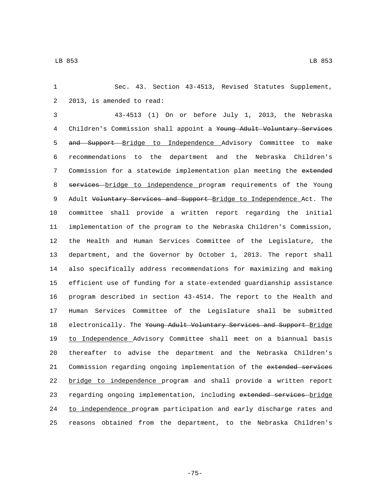1 Sec. 43. Section 43-4513, Revised Statutes Supplement, 2 2013, is amended to read:

 43-4513 (1) On or before July 1, 2013, the Nebraska 4 Children's Commission shall appoint a <del>Young Adult Voluntary Services</del> 5 and Support Bridge to Independence Advisory Committee to make recommendations to the department and the Nebraska Children's 7 Commission for a statewide implementation plan meeting the extended 8 services bridge to independence program requirements of the Young 9 Adult Voluntary Services and Support Bridge to Independence Act. The committee shall provide a written report regarding the initial implementation of the program to the Nebraska Children's Commission, the Health and Human Services Committee of the Legislature, the department, and the Governor by October 1, 2013. The report shall also specifically address recommendations for maximizing and making efficient use of funding for a state-extended guardianship assistance program described in section 43-4514. The report to the Health and Human Services Committee of the Legislature shall be submitted 18 electronically. The Young Adult Voluntary Services and Support Bridge to Independence Advisory Committee shall meet on a biannual basis thereafter to advise the department and the Nebraska Children's Commission regarding ongoing implementation of the extended services bridge to independence program and shall provide a written report 23 regarding ongoing implementation, including extended services bridge 24 to independence program participation and early discharge rates and reasons obtained from the department, to the Nebraska Children's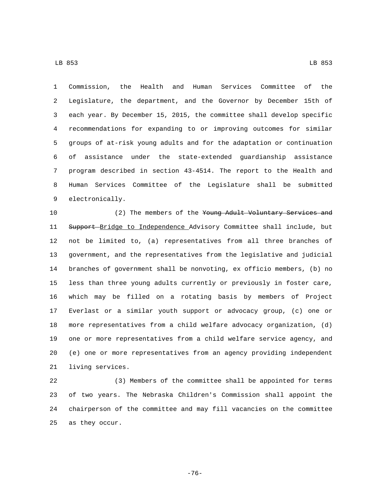Commission, the Health and Human Services Committee of the Legislature, the department, and the Governor by December 15th of each year. By December 15, 2015, the committee shall develop specific recommendations for expanding to or improving outcomes for similar groups of at-risk young adults and for the adaptation or continuation of assistance under the state-extended guardianship assistance program described in section 43-4514. The report to the Health and Human Services Committee of the Legislature shall be submitted 9 electronically.

10 (2) The members of the Young Adult Voluntary Services and 11 Support Bridge to Independence Advisory Committee shall include, but not be limited to, (a) representatives from all three branches of government, and the representatives from the legislative and judicial branches of government shall be nonvoting, ex officio members, (b) no less than three young adults currently or previously in foster care, which may be filled on a rotating basis by members of Project Everlast or a similar youth support or advocacy group, (c) one or more representatives from a child welfare advocacy organization, (d) one or more representatives from a child welfare service agency, and (e) one or more representatives from an agency providing independent 21 living services.

 (3) Members of the committee shall be appointed for terms of two years. The Nebraska Children's Commission shall appoint the chairperson of the committee and may fill vacancies on the committee 25 as they occur.

-76-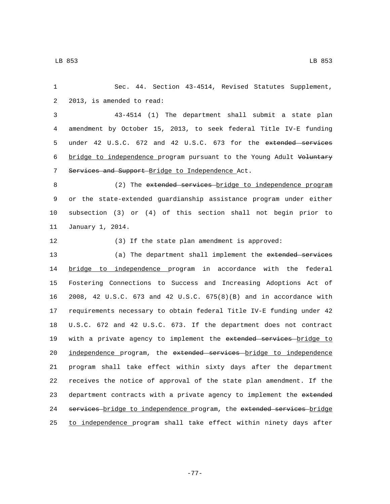| $\mathbf{1}$ | Sec. 44. Section 43-4514, Revised Statutes Supplement,                |
|--------------|-----------------------------------------------------------------------|
| 2            | 2013, is amended to read:                                             |
| 3            | 43-4514 (1) The department shall submit a state plan                  |
| 4            | amendment by October 15, 2013, to seek federal Title IV-E funding     |
| 5            | under 42 U.S.C. 672 and 42 U.S.C. 673 for the extended services       |
| 6            | bridge to independence program pursuant to the Young Adult Voluntary  |
| 7            | Services and Support Bridge to Independence Act.                      |
| 8            | (2) The extended services bridge to independence program              |
| 9            | or the state-extended guardianship assistance program under either    |
| 10           | subsection (3) or (4) of this section shall not begin prior to        |
| 11           | January 1, 2014.                                                      |
| 12           | (3) If the state plan amendment is approved:                          |
| 13           | (a) The department shall implement the extended services              |
| 14           | bridge to independence program in accordance with the<br>federal      |
| 15           | Fostering Connections to Success and Increasing Adoptions Act of      |
| 16           | 2008, 42 U.S.C. 673 and 42 U.S.C. 675(8)(B) and in accordance with    |
| 17           | requirements necessary to obtain federal Title IV-E funding under 42  |
| 18           | U.S.C. 672 and 42 U.S.C. 673. If the department does not contract     |
| 19           | with a private agency to implement the extended services bridge to    |
| 20           | independence program, the extended services bridge to independence    |
| 21           | program shall take effect within sixty days after the department      |
| 22           | receives the notice of approval of the state plan amendment. If the   |
| 23           | department contracts with a private agency to implement the extended  |
| 24           | services bridge to independence program, the extended services bridge |
| 25           | to independence program shall take effect within ninety days after    |

-77-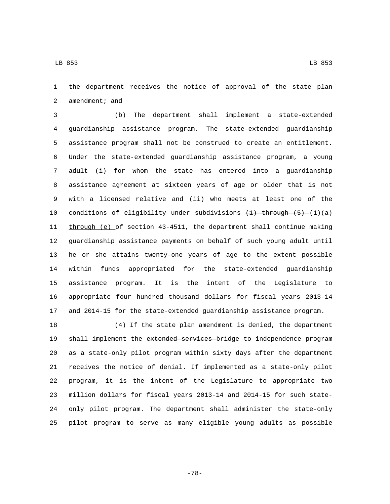the department receives the notice of approval of the state plan 2 amendment; and

 (b) The department shall implement a state-extended guardianship assistance program. The state-extended guardianship assistance program shall not be construed to create an entitlement. Under the state-extended guardianship assistance program, a young adult (i) for whom the state has entered into a guardianship assistance agreement at sixteen years of age or older that is not with a licensed relative and (ii) who meets at least one of the 10 conditions of eligibility under subdivisions  $(1)$  through  $(5)$   $(1)(a)$  through (e) of section 43-4511, the department shall continue making guardianship assistance payments on behalf of such young adult until he or she attains twenty-one years of age to the extent possible within funds appropriated for the state-extended guardianship assistance program. It is the intent of the Legislature to appropriate four hundred thousand dollars for fiscal years 2013-14 and 2014-15 for the state-extended guardianship assistance program.

 (4) If the state plan amendment is denied, the department 19 shall implement the extended services bridge to independence program as a state-only pilot program within sixty days after the department receives the notice of denial. If implemented as a state-only pilot program, it is the intent of the Legislature to appropriate two million dollars for fiscal years 2013-14 and 2014-15 for such state- only pilot program. The department shall administer the state-only pilot program to serve as many eligible young adults as possible

LB 853 LB 853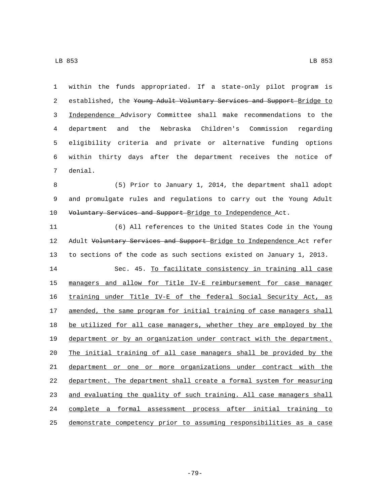LB 853 LB 853

 within the funds appropriated. If a state-only pilot program is 2 established, the Young Adult Voluntary Services and Support Bridge to Independence Advisory Committee shall make recommendations to the department and the Nebraska Children's Commission regarding eligibility criteria and private or alternative funding options within thirty days after the department receives the notice of 7 denial.

 (5) Prior to January 1, 2014, the department shall adopt and promulgate rules and regulations to carry out the Young Adult 10 Voluntary Services and Support Bridge to Independence Act.

 (6) All references to the United States Code in the Young 12 Adult Voluntary Services and Support Bridge to Independence Act refer to sections of the code as such sections existed on January 1, 2013.

 Sec. 45. To facilitate consistency in training all case managers and allow for Title IV-E reimbursement for case manager training under Title IV-E of the federal Social Security Act, as 17 amended, the same program for initial training of case managers shall 18 be utilized for all case managers, whether they are employed by the department or by an organization under contract with the department. The initial training of all case managers shall be provided by the department or one or more organizations under contract with the department. The department shall create a formal system for measuring 23 and evaluating the quality of such training. All case managers shall complete a formal assessment process after initial training to demonstrate competency prior to assuming responsibilities as a case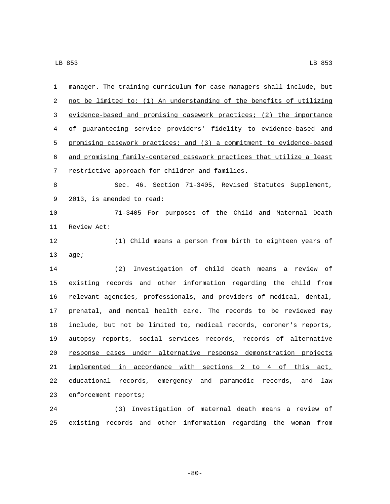| 1  | manager. The training curriculum for case managers shall include, but |
|----|-----------------------------------------------------------------------|
| 2  | not be limited to: (1) An understanding of the benefits of utilizing  |
| 3  | evidence-based and promising casework practices; (2) the importance   |
| 4  | of guaranteeing service providers' fidelity to evidence-based and     |
| 5  | promising casework practices; and (3) a commitment to evidence-based  |
| 6  | and promising family-centered casework practices that utilize a least |
| 7  | restrictive approach for children and families.                       |
| 8  | Sec. 46. Section 71-3405, Revised Statutes Supplement,                |
| 9  | 2013, is amended to read:                                             |
| 10 | 71-3405 For purposes of the Child and Maternal Death                  |
| 11 | Review Act:                                                           |
| 12 | (1) Child means a person from birth to eighteen years of              |
| 13 | age;                                                                  |
| 14 | (2) Investigation of child death means a review of                    |
| 15 | existing records and other information regarding the child from       |
| 16 | relevant agencies, professionals, and providers of medical, dental,   |
| 17 | prenatal, and mental health care. The records to be reviewed may      |
| 18 | include, but not be limited to, medical records, coroner's reports,   |
| 19 | autopsy reports, social services records, records of alternative      |
| 20 | response cases under alternative response demonstration projects      |
| 21 | implemented in accordance with sections 2 to 4 of this act,           |
| 22 | educational records, emergency and paramedic records, and<br>law      |
| 23 | enforcement reports;                                                  |
| 24 | Investigation of maternal death means a review of<br>(3)              |

-80-

existing records and other information regarding the woman from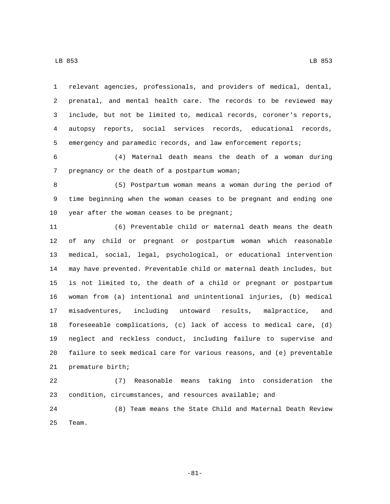relevant agencies, professionals, and providers of medical, dental,

 prenatal, and mental health care. The records to be reviewed may include, but not be limited to, medical records, coroner's reports, autopsy reports, social services records, educational records, emergency and paramedic records, and law enforcement reports;

 (4) Maternal death means the death of a woman during 7 pregnancy or the death of a postpartum woman;

 (5) Postpartum woman means a woman during the period of time beginning when the woman ceases to be pregnant and ending one 10 year after the woman ceases to be pregnant;

 (6) Preventable child or maternal death means the death of any child or pregnant or postpartum woman which reasonable medical, social, legal, psychological, or educational intervention may have prevented. Preventable child or maternal death includes, but is not limited to, the death of a child or pregnant or postpartum woman from (a) intentional and unintentional injuries, (b) medical misadventures, including untoward results, malpractice, and foreseeable complications, (c) lack of access to medical care, (d) neglect and reckless conduct, including failure to supervise and failure to seek medical care for various reasons, and (e) preventable 21 premature birth;

 (7) Reasonable means taking into consideration the condition, circumstances, and resources available; and

 (8) Team means the State Child and Maternal Death Review 25 Team.

-81-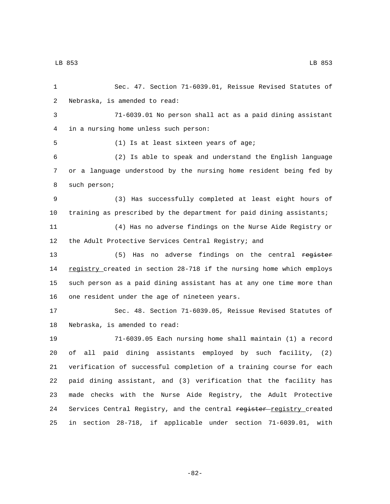Sec. 47. Section 71-6039.01, Reissue Revised Statutes of 2 Nebraska, is amended to read: 71-6039.01 No person shall act as a paid dining assistant in a nursing home unless such person:4 5 (1) Is at least sixteen years of age; (2) Is able to speak and understand the English language or a language understood by the nursing home resident being fed by 8 such person; (3) Has successfully completed at least eight hours of training as prescribed by the department for paid dining assistants; (4) Has no adverse findings on the Nurse Aide Registry or the Adult Protective Services Central Registry; and 13 (5) Has no adverse findings on the central register 14 registry created in section 28-718 if the nursing home which employs such person as a paid dining assistant has at any one time more than 16 one resident under the age of nineteen years. Sec. 48. Section 71-6039.05, Reissue Revised Statutes of 18 Nebraska, is amended to read: 71-6039.05 Each nursing home shall maintain (1) a record of all paid dining assistants employed by such facility, (2) verification of successful completion of a training course for each paid dining assistant, and (3) verification that the facility has made checks with the Nurse Aide Registry, the Adult Protective 24 Services Central Registry, and the central register-registry created in section 28-718, if applicable under section 71-6039.01, with

-82-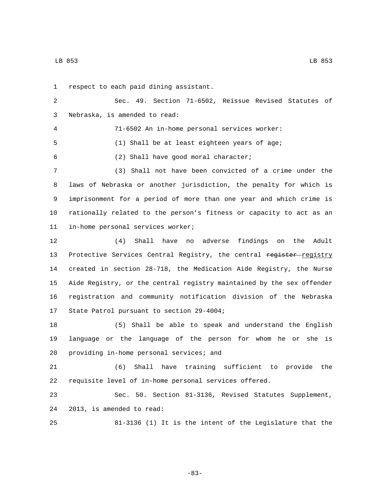LB 853 LB 853

1 respect to each paid dining assistant. Sec. 49. Section 71-6502, Reissue Revised Statutes of 3 Nebraska, is amended to read: 71-6502 An in-home personal services worker: (1) Shall be at least eighteen years of age; (2) Shall have good moral character;6 (3) Shall not have been convicted of a crime under the laws of Nebraska or another jurisdiction, the penalty for which is imprisonment for a period of more than one year and which crime is rationally related to the person's fitness or capacity to act as an 11 in-home personal services worker; (4) Shall have no adverse findings on the Adult 13 Protective Services Central Registry, the central register-registry created in section 28-718, the Medication Aide Registry, the Nurse Aide Registry, or the central registry maintained by the sex offender registration and community notification division of the Nebraska 17 State Patrol pursuant to section 29-4004; (5) Shall be able to speak and understand the English language or the language of the person for whom he or she is 20 providing in-home personal services; and (6) Shall have training sufficient to provide the requisite level of in-home personal services offered. Sec. 50. Section 81-3136, Revised Statutes Supplement, 24 2013, is amended to read: 81-3136 (1) It is the intent of the Legislature that the

-83-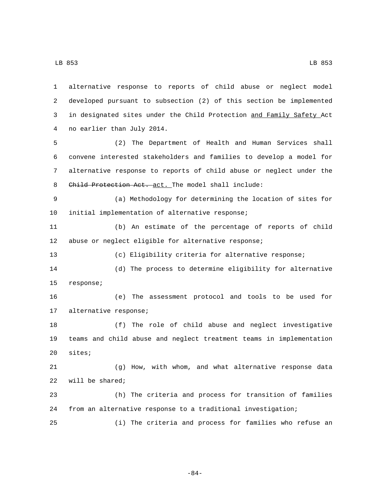developed pursuant to subsection (2) of this section be implemented in designated sites under the Child Protection and Family Safety Act 4 no earlier than July 2014. (2) The Department of Health and Human Services shall convene interested stakeholders and families to develop a model for alternative response to reports of child abuse or neglect under the 8 Child Protection Act. act. The model shall include: (a) Methodology for determining the location of sites for 10 initial implementation of alternative response; (b) An estimate of the percentage of reports of child abuse or neglect eligible for alternative response; (c) Eligibility criteria for alternative response; (d) The process to determine eligibility for alternative 15 response; (e) The assessment protocol and tools to be used for 17 alternative response; (f) The role of child abuse and neglect investigative teams and child abuse and neglect treatment teams in implementation 20 sites;

alternative response to reports of child abuse or neglect model

 (g) How, with whom, and what alternative response data 22 will be shared;

 (h) The criteria and process for transition of families from an alternative response to a traditional investigation;

(i) The criteria and process for families who refuse an

-84-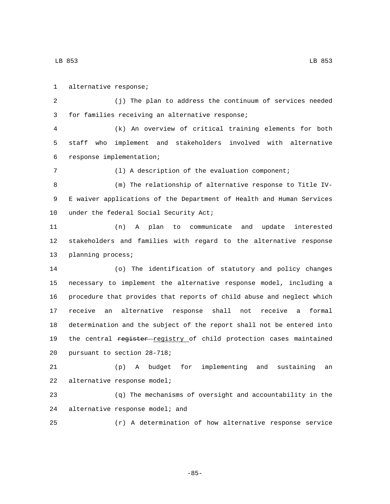LB 853 LB 853

1 alternative response; (j) The plan to address the continuum of services needed 3 for families receiving an alternative response; (k) An overview of critical training elements for both staff who implement and stakeholders involved with alternative response implementation;6 (l) A description of the evaluation component; (m) The relationship of alternative response to Title IV- E waiver applications of the Department of Health and Human Services 10 under the federal Social Security Act; (n) A plan to communicate and update interested stakeholders and families with regard to the alternative response 13 planning process; (o) The identification of statutory and policy changes necessary to implement the alternative response model, including a procedure that provides that reports of child abuse and neglect which receive an alternative response shall not receive a formal determination and the subject of the report shall not be entered into 19 the central register registry of child protection cases maintained 20 pursuant to section 28-718; (p) A budget for implementing and sustaining an 22 alternative response model; (q) The mechanisms of oversight and accountability in the 24 alternative response model; and (r) A determination of how alternative response service

-85-